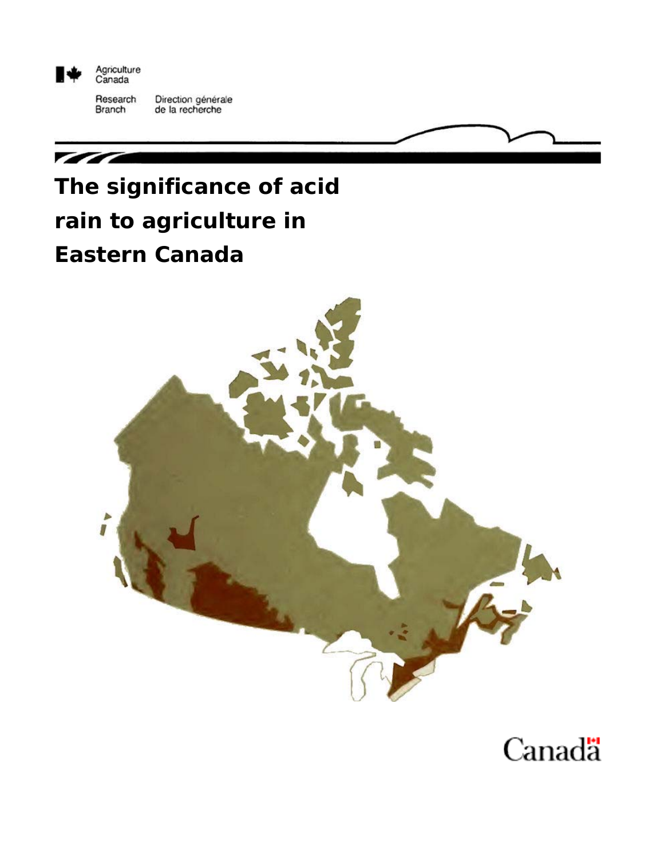

Agriculture<br>Canada

Research Direction générale<br>de la recherche Branch



# **Eastern Canada**



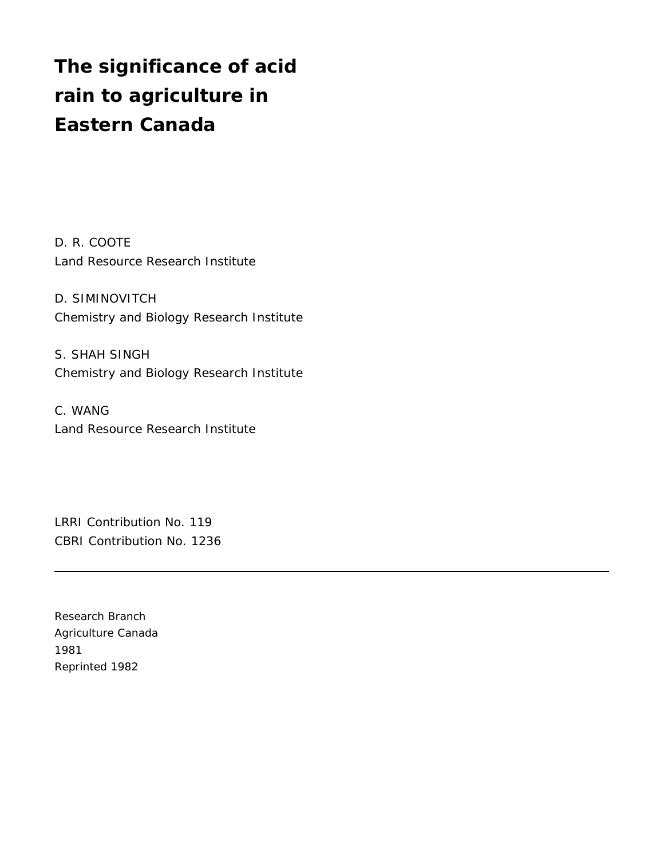## **The significance of acid rain to agriculture in Eastern Canada**

D. R. COOTE Land Resource Research Institute

D. SIMINOVITCH Chemistry and Biology Research Institute

S. SHAH SINGH Chemistry and Biology Research Institute

C. WANG Land Resource Research Institute

LRRI Contribution No. 119 CBRI Contribution No. 1236

Research Branch Agriculture Canada 1981 Reprinted 1982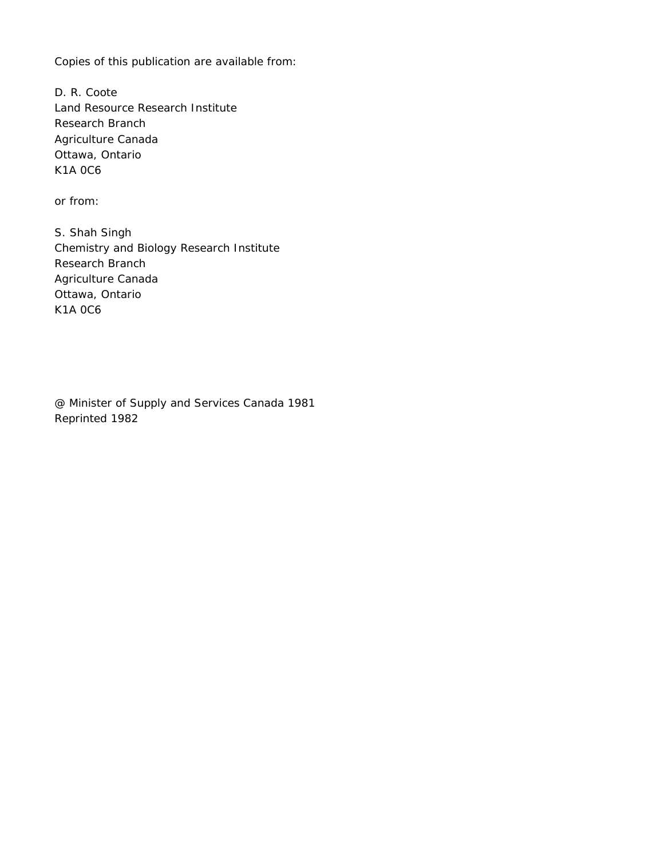Copies of this publication are available from:

D. R. Coote Land Resource Research Institute Research Branch Agriculture Canada Ottawa, Ontario K1A 0C6

or from:

S. Shah Singh Chemistry and Biology Research Institute Research Branch Agriculture Canada Ottawa, Ontario K1A 0C6

@ Minister of Supply and Services Canada 1981 Reprinted 1982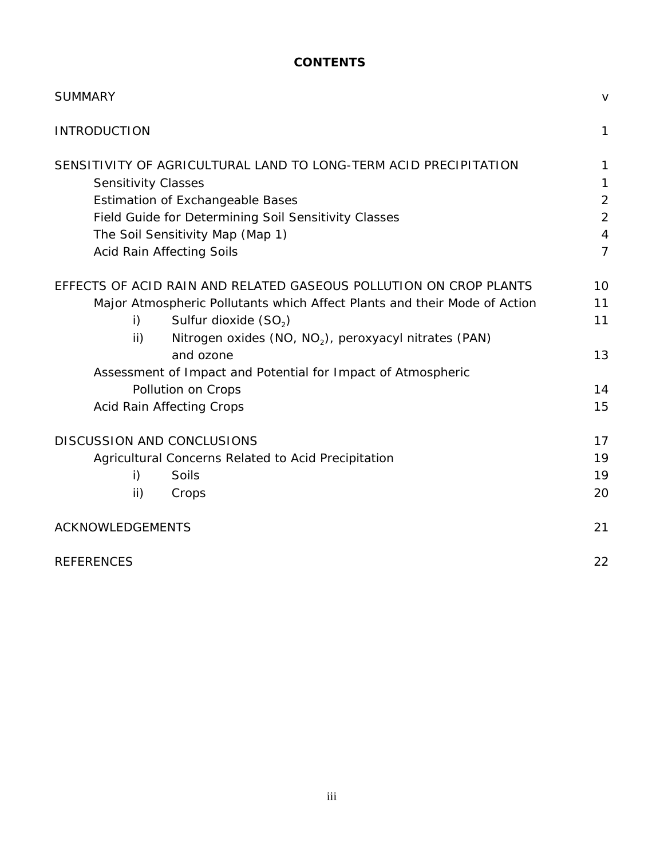## **CONTENTS**

| <b>SUMMARY</b>                                                                     | $\vee$         |
|------------------------------------------------------------------------------------|----------------|
| <b>INTRODUCTION</b>                                                                | $\mathbf{1}$   |
| SENSITIVITY OF AGRICULTURAL LAND TO LONG-TERM ACID PRECIPITATION                   | 1              |
| <b>Sensitivity Classes</b>                                                         | 1              |
| <b>Estimation of Exchangeable Bases</b>                                            | $\overline{c}$ |
| Field Guide for Determining Soil Sensitivity Classes                               | $\overline{2}$ |
| The Soil Sensitivity Map (Map 1)                                                   | $\overline{4}$ |
| Acid Rain Affecting Soils                                                          | $\overline{7}$ |
| EFFECTS OF ACID RAIN AND RELATED GASEOUS POLLUTION ON CROP PLANTS                  | 10             |
| Major Atmospheric Pollutants which Affect Plants and their Mode of Action          | 11             |
| Sulfur dioxide (SO <sub>2</sub> )<br>i)                                            | 11             |
| Nitrogen oxides (NO, NO <sub>2</sub> ), peroxyacyl nitrates (PAN)<br>$\mathsf{ii}$ |                |
| and ozone                                                                          | 13             |
| Assessment of Impact and Potential for Impact of Atmospheric                       |                |
| Pollution on Crops                                                                 | 14             |
| <b>Acid Rain Affecting Crops</b>                                                   | 15             |
| DISCUSSION AND CONCLUSIONS                                                         | 17             |
| Agricultural Concerns Related to Acid Precipitation                                | 19             |
| Soils<br>i)                                                                        | 19             |
| ii)<br>Crops                                                                       | 20             |
| ACKNOWLEDGEMENTS                                                                   | 21             |
| <b>REFERENCES</b>                                                                  | 22             |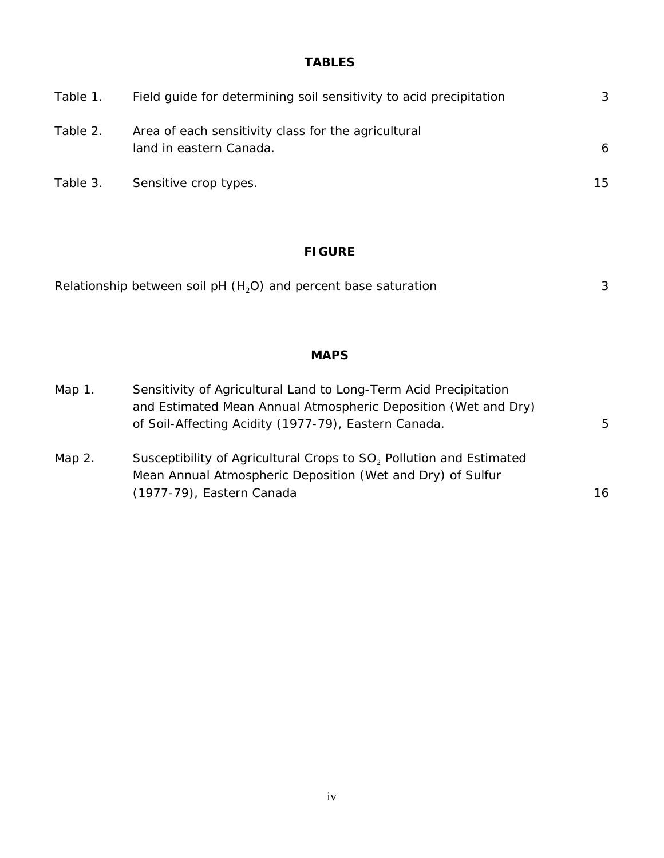## **TABLES**

| Table 1. | Field guide for determining soil sensitivity to acid precipitation             | 3  |
|----------|--------------------------------------------------------------------------------|----|
| Table 2. | Area of each sensitivity class for the agricultural<br>land in eastern Canada. | 6  |
| Table 3. | Sensitive crop types.                                                          | 15 |

## **FIGURE**

| Relationship between soil pH $(H2O)$ and percent base saturation |  |
|------------------------------------------------------------------|--|
|                                                                  |  |

## **MAPS**

| Sensitivity of Agricultural Land to Long-Term Acid Precipitation<br>Map $1$ . |                                                                                 |    |  |
|-------------------------------------------------------------------------------|---------------------------------------------------------------------------------|----|--|
|                                                                               | and Estimated Mean Annual Atmospheric Deposition (Wet and Dry)                  |    |  |
|                                                                               | of Soil-Affecting Acidity (1977-79), Eastern Canada.                            | 5  |  |
| Map $2.$                                                                      | Susceptibility of Agricultural Crops to SO <sub>2</sub> Pollution and Estimated |    |  |
|                                                                               | Mean Annual Atmospheric Deposition (Wet and Dry) of Sulfur                      |    |  |
|                                                                               | (1977-79), Eastern Canada                                                       | 16 |  |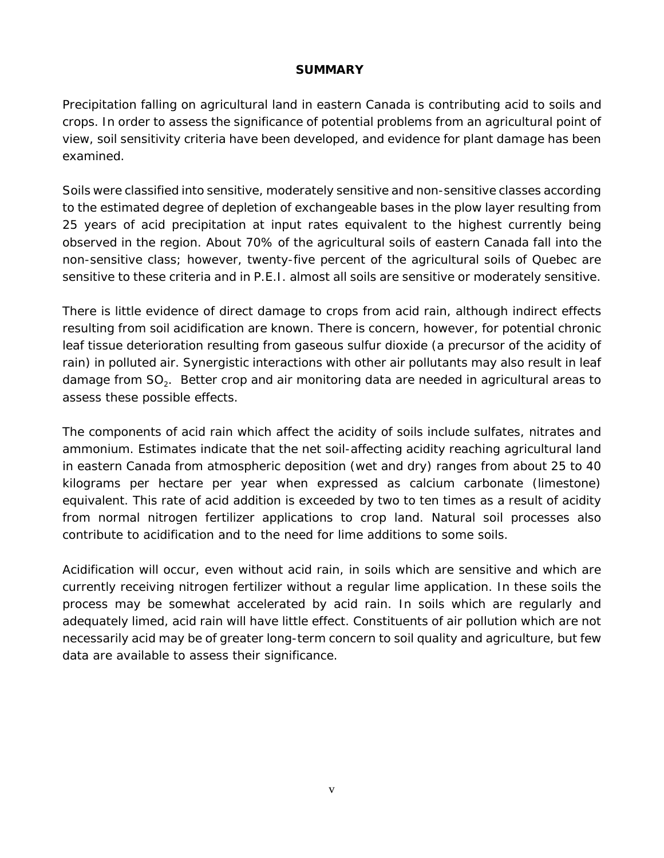#### **SUMMARY**

Precipitation falling on agricultural land in eastern Canada is contributing acid to soils and crops. In order to assess the significance of potential problems from an agricultural point of view, soil sensitivity criteria have been developed, and evidence for plant damage has been examined.

Soils were classified into sensitive, moderately sensitive and non-sensitive classes according to the estimated degree of depletion of exchangeable bases in the plow layer resulting from 25 years of acid precipitation at input rates equivalent to the highest currently being observed in the region. About 70% of the agricultural soils of eastern Canada fall into the non-sensitive class; however, twenty-five percent of the agricultural soils of Quebec are sensitive to these criteria and in P.E.I. almost all soils are sensitive or moderately sensitive.

There is little evidence of direct damage to crops from acid rain, although indirect effects resulting from soil acidification are known. There is concern, however, for potential chronic leaf tissue deterioration resulting from gaseous sulfur dioxide (a precursor of the acidity of rain) in polluted air. Synergistic interactions with other air pollutants may also result in leaf damage from  $SO<sub>2</sub>$ . Better crop and air monitoring data are needed in agricultural areas to assess these possible effects.

The components of acid rain which affect the acidity of soils include sulfates, nitrates and ammonium. Estimates indicate that the net soil-affecting acidity reaching agricultural land in eastern Canada from atmospheric deposition (wet and dry) ranges from about 25 to 40 kilograms per hectare per year when expressed as calcium carbonate (limestone) equivalent. This rate of acid addition is exceeded by two to ten times as a result of acidity from normal nitrogen fertilizer applications to crop land. Natural soil processes also contribute to acidification and to the need for lime additions to some soils.

Acidification will occur, even without acid rain, in soils which are sensitive and which are currently receiving nitrogen fertilizer without a regular lime application. In these soils the process may be somewhat accelerated by acid rain. In soils which are regularly and adequately limed, acid rain will have little effect. Constituents of air pollution which are not necessarily acid may be of greater long-term concern to soil quality and agriculture, but few data are available to assess their significance.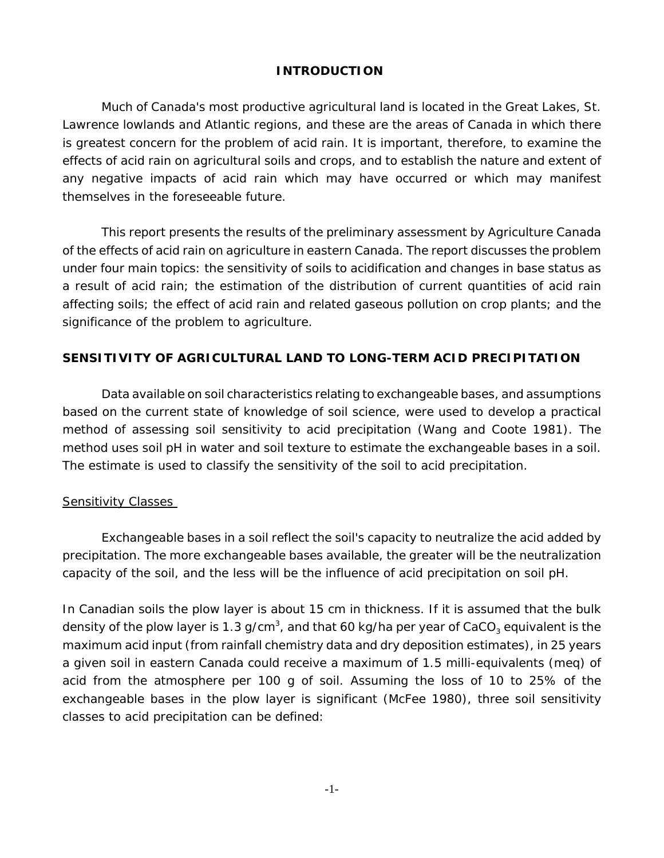#### **INTRODUCTION**

Much of Canada's most productive agricultural land is located in the Great Lakes, St. Lawrence lowlands and Atlantic regions, and these are the areas of Canada in which there is greatest concern for the problem of acid rain. It is important, therefore, to examine the effects of acid rain on agricultural soils and crops, and to establish the nature and extent of any negative impacts of acid rain which may have occurred or which may manifest themselves in the foreseeable future.

This report presents the results of the preliminary assessment by Agriculture Canada of the effects of acid rain on agriculture in eastern Canada. The report discusses the problem under four main topics: the sensitivity of soils to acidification and changes in base status as a result of acid rain; the estimation of the distribution of current quantities of acid rain affecting soils; the effect of acid rain and related gaseous pollution on crop plants; and the significance of the problem to agriculture.

#### **SENSITIVITY OF AGRICULTURAL LAND TO LONG-TERM ACID PRECIPITATION**

Data available on soil characteristics relating to exchangeable bases, and assumptions based on the current state of knowledge of soil science, were used to develop a practical method of assessing soil sensitivity to acid precipitation (Wang and Coote 1981). The method uses soil pH in water and soil texture to estimate the exchangeable bases in a soil. The estimate is used to classify the sensitivity of the soil to acid precipitation.

#### Sensitivity Classes

Exchangeable bases in a soil reflect the soil's capacity to neutralize the acid added by precipitation. The more exchangeable bases available, the greater will be the neutralization capacity of the soil, and the less will be the influence of acid precipitation on soil pH.

In Canadian soils the plow layer is about 15 cm in thickness. If it is assumed that the bulk density of the plow layer is 1.3 g/cm $^{\rm 3}$ , and that 60 kg/ha per year of CaCO $_{\rm 3}$  equivalent is the maximum acid input (from rainfall chemistry data and dry deposition estimates), in 25 years a given soil in eastern Canada could receive a maximum of 1.5 milli-equivalents (meq) of acid from the atmosphere per 100 g of soil. Assuming the loss of 10 to 25% of the exchangeable bases in the plow layer is significant (McFee 1980), three soil sensitivity classes to acid precipitation can be defined: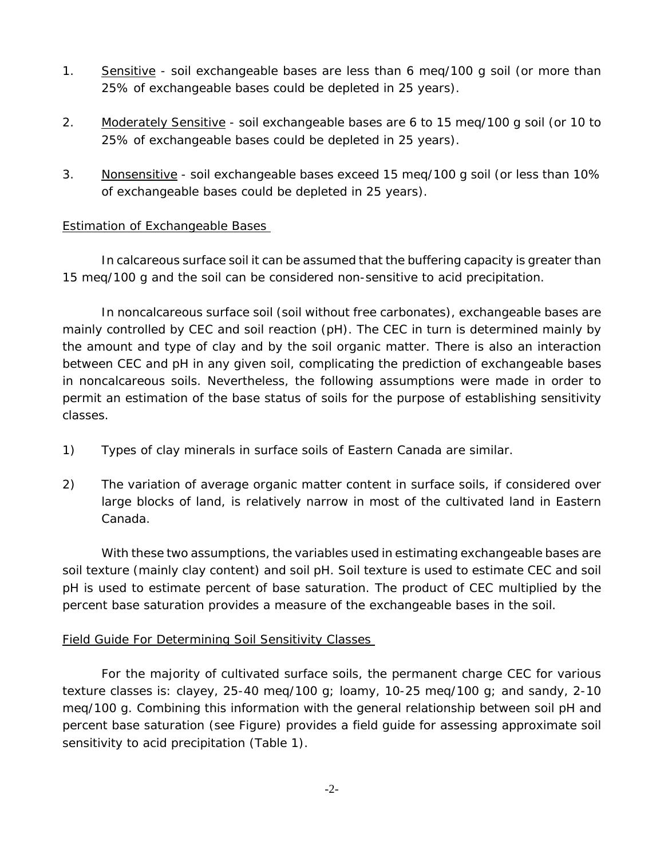- 1. Sensitive soil exchangeable bases are less than 6 meq/100 g soil (or more than 25% of exchangeable bases could be depleted in 25 years).
- 2. Moderately Sensitive soil exchangeable bases are 6 to 15 meq/100 g soil (or 10 to 25% of exchangeable bases could be depleted in 25 years).
- 3. Nonsensitive soil exchangeable bases exceed 15 meq/100 g soil (or less than 10% of exchangeable bases could be depleted in 25 years).

## Estimation of Exchangeable Bases

In calcareous surface soil it can be assumed that the buffering capacity is greater than 15 meq/100 g and the soil can be considered non-sensitive to acid precipitation.

In noncalcareous surface soil (soil without free carbonates), exchangeable bases are mainly controlled by CEC and soil reaction (pH). The CEC in turn is determined mainly by the amount and type of clay and by the soil organic matter. There is also an interaction between CEC and pH in any given soil, complicating the prediction of exchangeable bases in noncalcareous soils. Nevertheless, the following assumptions were made in order to permit an estimation of the base status of soils for the purpose of establishing sensitivity classes.

- 1) Types of clay minerals in surface soils of Eastern Canada are similar.
- 2) The variation of average organic matter content in surface soils, if considered over large blocks of land, is relatively narrow in most of the cultivated land in Eastern Canada.

With these two assumptions, the variables used in estimating exchangeable bases are soil texture (mainly clay content) and soil pH. Soil texture is used to estimate CEC and soil pH is used to estimate percent of base saturation. The product of CEC multiplied by the percent base saturation provides a measure of the exchangeable bases in the soil.

## Field Guide For Determining Soil Sensitivity Classes

For the majority of cultivated surface soils, the permanent charge CEC for various texture classes is: clayey, 25-40 meq/100 g; loamy, 10-25 meq/100 g; and sandy, 2-10 meq/100 g. Combining this information with the general relationship between soil pH and percent base saturation (see Figure) provides a field guide for assessing approximate soil sensitivity to acid precipitation (Table 1).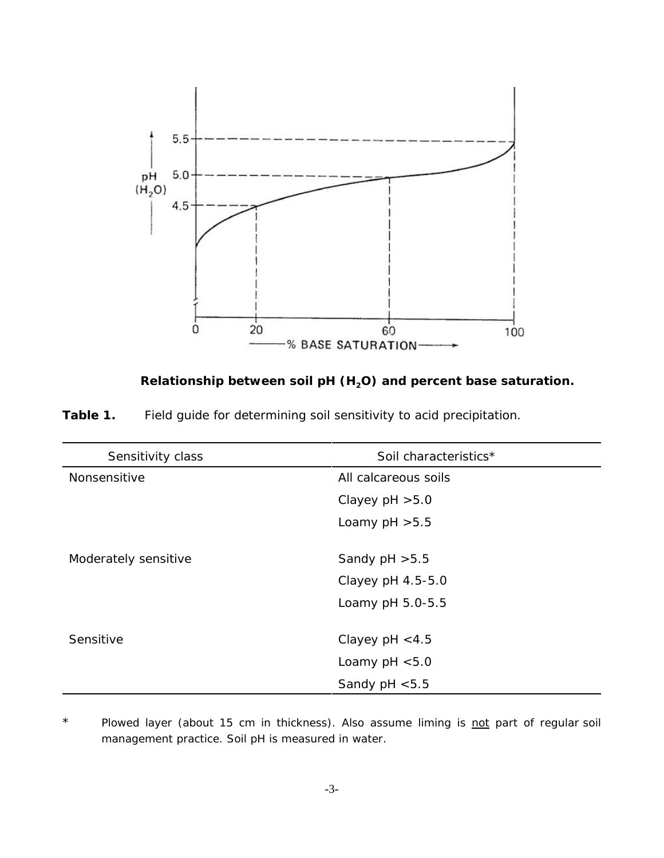



| Sensitivity class    | Soil characteristics* |
|----------------------|-----------------------|
| Nonsensitive         | All calcareous soils  |
|                      | Clayey $pH > 5.0$     |
|                      | Loamy $pH > 5.5$      |
|                      |                       |
| Moderately sensitive | Sandy $pH > 5.5$      |
|                      | Clayey pH 4.5-5.0     |
|                      | Loamy pH 5.0-5.5      |
|                      |                       |
| Sensitive            | Clayey $pH < 4.5$     |
|                      | Loamy $pH < 5.0$      |
|                      | Sandy $pH < 5.5$      |

\* Plowed layer (about 15 cm in thickness). Also assume liming is not part of regular soil management practice. Soil pH is measured in water.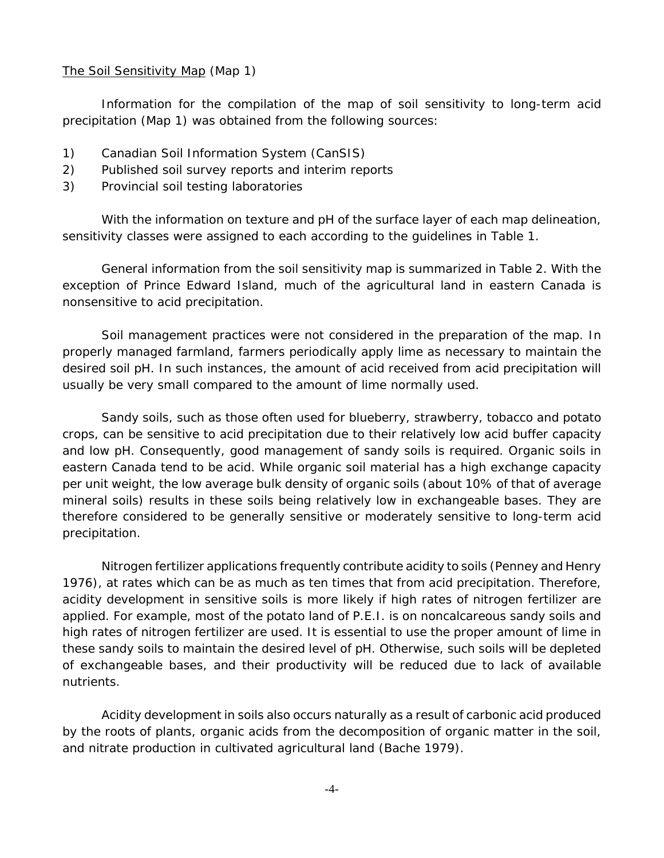#### The Soil Sensitivity Map (Map 1)

Information for the compilation of the map of soil sensitivity to long-term acid precipitation (Map 1) was obtained from the following sources:

- 1) Canadian Soil Information System (CanSIS)
- 2) Published soil survey reports and interim reports
- 3) Provincial soil testing laboratories

With the information on texture and pH of the surface layer of each map delineation, sensitivity classes were assigned to each according to the guidelines in Table 1.

General information from the soil sensitivity map is summarized in Table 2. With the exception of Prince Edward Island, much of the agricultural land in eastern Canada is nonsensitive to acid precipitation.

Soil management practices were not considered in the preparation of the map. In properly managed farmland, farmers periodically apply lime as necessary to maintain the desired soil pH. In such instances, the amount of acid received from acid precipitation will usually be very small compared to the amount of lime normally used.

Sandy soils, such as those often used for blueberry, strawberry, tobacco and potato crops, can be sensitive to acid precipitation due to their relatively low acid buffer capacity and low pH. Consequently, good management of sandy soils is required. Organic soils in eastern Canada tend to be acid. While organic soil material has a high exchange capacity per unit weight, the low average bulk density of organic soils (about 10% of that of average mineral soils) results in these soils being relatively low in exchangeable bases. They are therefore considered to be generally sensitive or moderately sensitive to long-term acid precipitation.

Nitrogen fertilizer applications frequently contribute acidity to soils (Penney and Henry 1976), at rates which can be as much as ten times that from acid precipitation. Therefore, acidity development in sensitive soils is more likely if high rates of nitrogen fertilizer are applied. For example, most of the potato land of P.E.I. is on noncalcareous sandy soils and high rates of nitrogen fertilizer are used. It is essential to use the proper amount of lime in these sandy soils to maintain the desired level of pH. Otherwise, such soils will be depleted of exchangeable bases, and their productivity will be reduced due to lack of available nutrients.

Acidity development in soils also occurs naturally as a result of carbonic acid produced by the roots of plants, organic acids from the decomposition of organic matter in the soil, and nitrate production in cultivated agricultural land (Bache 1979).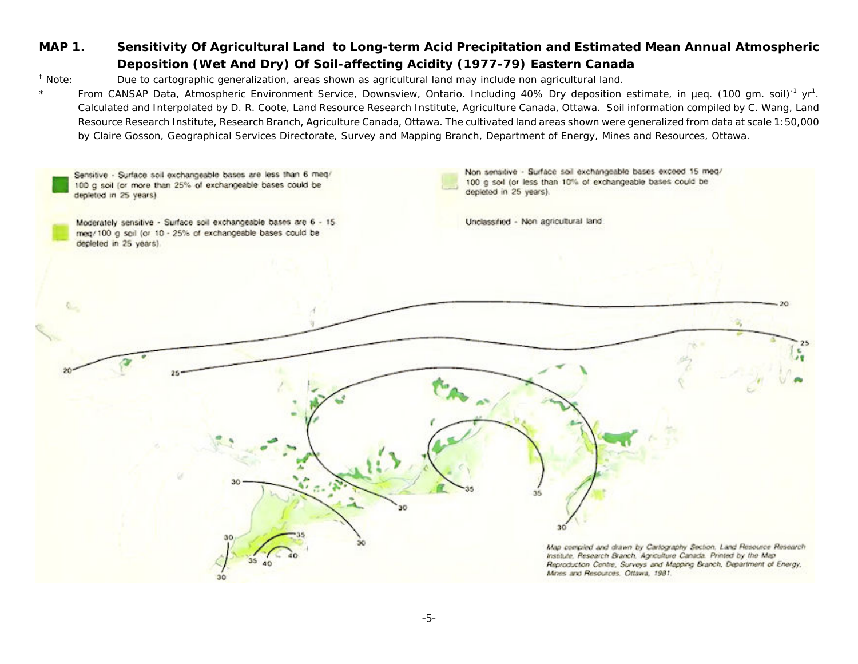## **MAP 1. Sensitivity Of Agricultural Land to Long-term Acid Precipitation and Estimated Mean Annual Atmospheric Deposition (Wet And Dry) Of Soil-affecting Acidity (1977-79) Eastern Canada**

† Note: Due to cartographic generalization, areas shown as agricultural land may include non agricultural land.

\*From CANSAP Data, Atmospheric Environment Service, Downsview, Ontario. Including 40% Dry deposition estimate, in µeq. (100 gm. soil)<sup>-1</sup> yr<sup>1</sup>. Calculated and Interpolated by D. R. Coote, Land Resource Research Institute, Agriculture Canada, Ottawa. Soil information compiled by C. Wang, Land Resource Research Institute, Research Branch, Agriculture Canada, Ottawa. The cultivated land areas shown were generalized from data at scale 1:50,000 by Claire Gosson, Geographical Services Directorate, Survey and Mapping Branch, Department of Energy, Mines and Resources, Ottawa.

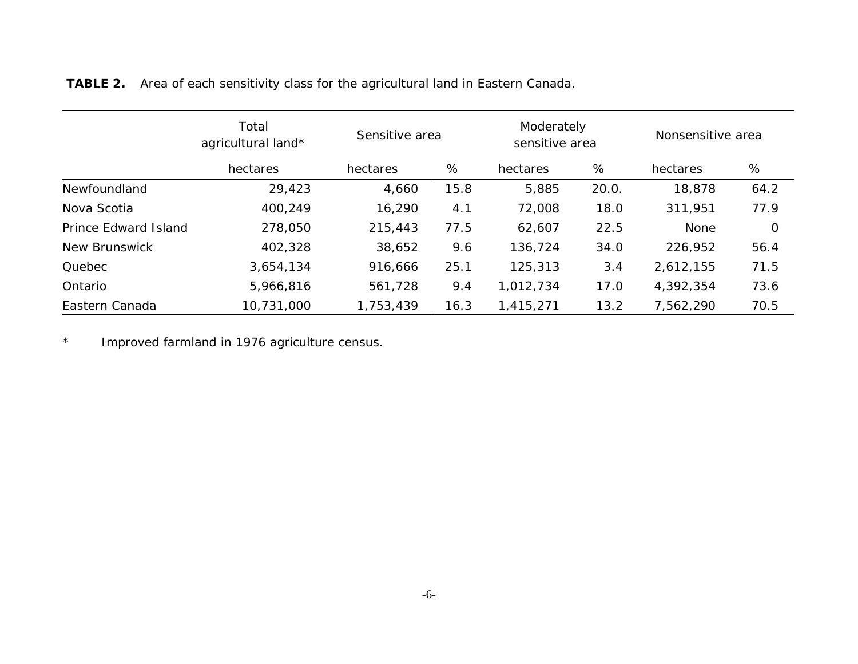|                      | Total<br>agricultural land*<br>hectares | Sensitive area |      | Moderately<br>sensitive area |       | Nonsensitive area |      |
|----------------------|-----------------------------------------|----------------|------|------------------------------|-------|-------------------|------|
|                      |                                         | hectares       | %    | hectares                     | %     | hectares          | %    |
| Newfoundland         | 29,423                                  | 4,660          | 15.8 | 5,885                        | 20.0. | 18,878            | 64.2 |
| Nova Scotia          | 400,249                                 | 16,290         | 4.1  | 72,008                       | 18.0  | 311,951           | 77.9 |
| Prince Edward Island | 278,050                                 | 215,443        | 77.5 | 62,607                       | 22.5  | None              | 0    |
| New Brunswick        | 402,328                                 | 38,652         | 9.6  | 136,724                      | 34.0  | 226,952           | 56.4 |
| Quebec               | 3,654,134                               | 916,666        | 25.1 | 125,313                      | 3.4   | 2,612,155         | 71.5 |
| Ontario              | 5,966,816                               | 561,728        | 9.4  | 1,012,734                    | 17.0  | 4,392,354         | 73.6 |
| Eastern Canada       | 10,731,000                              | 1,753,439      | 16.3 | 1,415,271                    | 13.2  | 7,562,290         | 70.5 |

**TABLE 2.** Area of each sensitivity class for the agricultural land in Eastern Canada.

\*Improved farmland in 1976 agriculture census.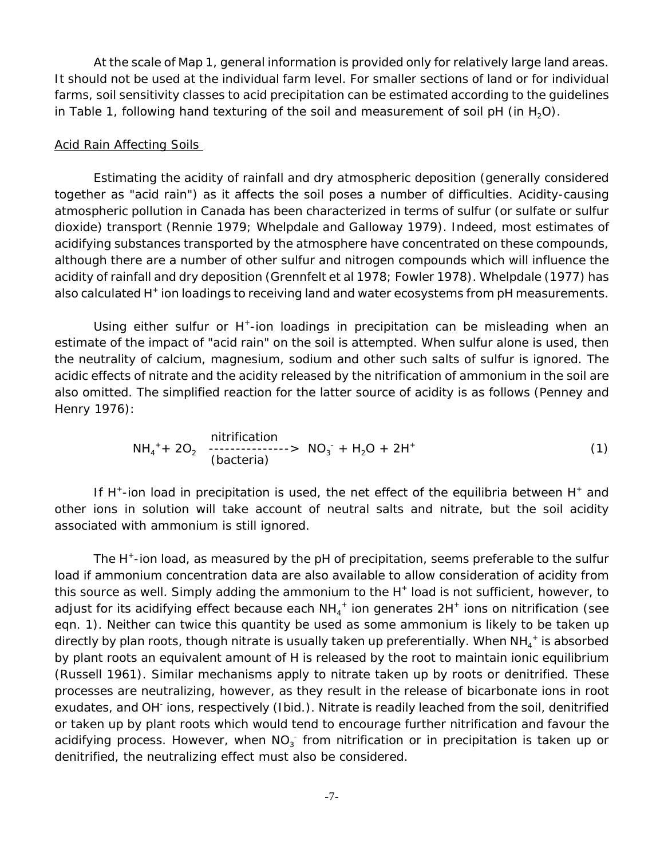At the scale of Map 1, general information is provided only for relatively large land areas. It should not be used at the individual farm level. For smaller sections of land or for individual farms, soil sensitivity classes to acid precipitation can be estimated according to the guidelines in Table 1, following hand texturing of the soil and measurement of soil pH (in  $H_2O$ ).

#### Acid Rain Affecting Soils

Estimating the acidity of rainfall and dry atmospheric deposition (generally considered together as "acid rain") as it affects the soil poses a number of difficulties. Acidity-causing atmospheric pollution in Canada has been characterized in terms of sulfur (or sulfate or sulfur dioxide) transport (Rennie 1979; Whelpdale and Galloway 1979). Indeed, most estimates of acidifying substances transported by the atmosphere have concentrated on these compounds, although there are a number of other sulfur and nitrogen compounds which will influence the acidity of rainfall and dry deposition (Grennfelt *et al* 1978; Fowler 1978). Whelpdale (1977) has also calculated H<sup>+</sup> ion loadings to receiving land and water ecosystems from pH measurements.

Using either sulfur or  $H^*$ -ion loadings in precipitation can be misleading when an estimate of the impact of "acid rain" on the soil is attempted. When sulfur alone is used, then the neutrality of calcium, magnesium, sodium and other such salts of sulfur is ignored. The acidic effects of nitrate and the acidity released by the nitrification of ammonium in the soil are also omitted. The simplified reaction for the latter source of acidity is as follows (Penney and Henry 1976):

$$
NH_4^+ + 2O_2
$$
   
 
$$
NH_4^+ + 2O_2
$$
   
 
$$
Chacteria)
$$
 
$$
NO_3^- + H_2O + 2H^+
$$
 (1)

If  $H^+$ -ion load in precipitation is used, the net effect of the equilibria between  $H^+$  and other ions in solution will take account of neutral salts and nitrate, but the soil acidity associated with ammonium is still ignored.

The H<sup>+</sup>-ion load, as measured by the pH of precipitation, seems preferable to the sulfur load if ammonium concentration data are also available to allow consideration of acidity from this source as well. Simply adding the ammonium to the H<sup>+</sup> load is not sufficient, however, to adjust for its acidifying effect because each NH<sub>4</sub><sup>+</sup> ion generates 2H<sup>+</sup> ions on nitrification (see eqn. 1). Neither can twice this quantity be used as some ammonium is likely to be taken up directly by plan roots, though nitrate is usually taken up preferentially. When NH $_4^{\mathrm{+}}$  is absorbed by plant roots an equivalent amount of H is released by the root to maintain ionic equilibrium (Russell 1961). Similar mechanisms apply to nitrate taken up by roots or denitrified. These processes are neutralizing, however, as they result in the release of bicarbonate ions in root exudates, and OH<sup>-</sup> ions, respectively (Ibid.). Nitrate is readily leached from the soil, denitrified or taken up by plant roots which would tend to encourage further nitrification and favour the acidifying process. However, when  $NO<sub>3</sub>^-$  from nitrification or in precipitation is taken up or denitrified, the neutralizing effect must also be considered.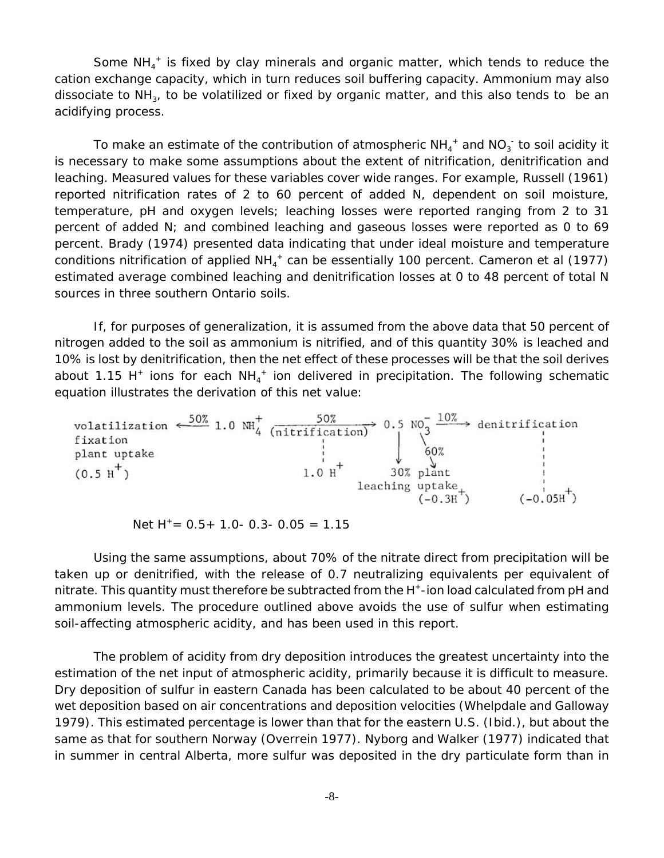Some  $NH_4^+$  is fixed by clay minerals and organic matter, which tends to reduce the cation exchange capacity, which in turn reduces soil buffering capacity. Ammonium may also dissociate to  $NH<sub>3</sub>$ , to be volatilized or fixed by organic matter, and this also tends to be an acidifying process.

To make an estimate of the contribution of atmospheric NH $_4^+$  and NO $_3^+$  to soil acidity it is necessary to make some assumptions about the extent of nitrification, denitrification and leaching. Measured values for these variables cover wide ranges. For example, Russell (1961) reported nitrification rates of 2 to 60 percent of added N, dependent on soil moisture, temperature, pH and oxygen levels; leaching losses were reported ranging from 2 to 31 percent of added N; and combined leaching and gaseous losses were reported as 0 to 69 percent. Brady (1974) presented data indicating that under ideal moisture and temperature conditions nitrification of applied NH<sub>4</sub><sup>+</sup> can be essentially 100 percent. Cameron *et al* (1977) estimated average combined leaching and denitrification losses at 0 to 48 percent of total N sources in three southern Ontario soils.

If, for purposes of generalization, it is assumed from the above data that 50 percent of nitrogen added to the soil as ammonium is nitrified, and of this quantity 30% is leached and 10% is lost by denitrification, then the net effect of these processes will be that the soil derives about 1.15 H<sup>+</sup> ions for each  $NH_4^+$  ion delivered in precipitation. The following schematic equation illustrates the derivation of this net value:



Net  $H^+= 0.5+ 1.0- 0.3- 0.05 = 1.15$ 

Using the same assumptions, about 70% of the nitrate direct from precipitation will be taken up or denitrified, with the release of 0.7 neutralizing equivalents per equivalent of nitrate. This quantity must therefore be subtracted from the  $H^*$ -ion load calculated from pH and ammonium levels. The procedure outlined above avoids the use of sulfur when estimating soil-affecting atmospheric acidity, and has been used in this report.

The problem of acidity from dry deposition introduces the greatest uncertainty into the estimation of the net input of atmospheric acidity, primarily because it is difficult to measure. Dry deposition of sulfur in eastern Canada has been calculated to be about 40 percent of the wet deposition based on air concentrations and deposition velocities (Whelpdale and Galloway 1979). This estimated percentage is lower than that for the eastern U.S. (Ibid.), but about the same as that for southern Norway (Overrein 1977). Nyborg and Walker (1977) indicated that in summer in central Alberta, more sulfur was deposited in the dry particulate form than in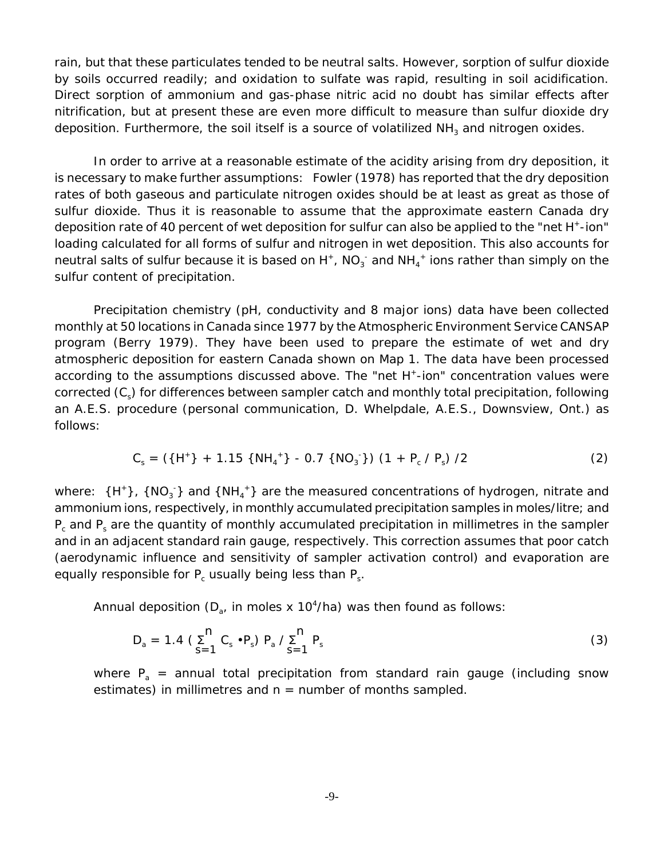rain, but that these particulates tended to be neutral salts. However, sorption of sulfur dioxide by soils occurred readily; and oxidation to sulfate was rapid, resulting in soil acidification. Direct sorption of ammonium and gas-phase nitric acid no doubt has similar effects after nitrification, but at present these are even more difficult to measure than sulfur dioxide dry deposition. Furthermore, the soil itself is a source of volatilized  $NH<sub>3</sub>$  and nitrogen oxides.

In order to arrive at a reasonable estimate of the acidity arising from dry deposition, it is necessary to make further assumptions: Fowler (1978) has reported that the dry deposition rates of both gaseous and particulate nitrogen oxides should be at least as great as those of sulfur dioxide. Thus it is reasonable to assume that the approximate eastern Canada dry deposition rate of 40 percent of wet deposition for sulfur can also be applied to the "net H<sup>+</sup>-ion" loading calculated for all forms of sulfur and nitrogen in wet deposition. This also accounts for neutral salts of sulfur because it is based on H<sup>+</sup>, NO<sub>3</sub><sup>-</sup> and NH<sub>4</sub><sup>+</sup> ions rather than simply on the sulfur content of precipitation.

Precipitation chemistry (pH, conductivity and 8 major ions) data have been collected monthly at 50 locations in Canada since 1977 by the Atmospheric Environment Service CANSAP program (Berry 1979). They have been used to prepare the estimate of wet and dry atmospheric deposition for eastern Canada shown on Map 1. The data have been processed according to the assumptions discussed above. The "net H<sup>+</sup>-ion" concentration values were corrected (C<sub>s</sub>) for differences between sampler catch and monthly total precipitation, following an A.E.S. procedure (personal communication, D. Whelpdale, A.E.S., Downsview, Ont.) as follows:

$$
C_s = (\{H^+\} + 1.15 \{NH_4^+\} - 0.7 \{NO_3^-\}) (1 + P_c / P_s) / 2
$$
 (2)

where: {H<sup>+</sup>}, {NO<sub>3</sub>} and {NH<sub>4</sub><sup>+</sup>} are the measured concentrations of hydrogen, nitrate and ammonium ions, respectively, in monthly accumulated precipitation samples in moles/litre; and  $P_c$  and  $P_s$  are the quantity of monthly accumulated precipitation in millimetres in the sampler and in an adjacent standard rain gauge, respectively. This correction assumes that poor catch (aerodynamic influence and sensitivity of sampler activation control) and evaporation are equally responsible for  $P_c$  usually being less than  $P_s$ .

Annual deposition ( $D_{a}$ , in moles x 10<sup>4</sup>/ha) was then found as follows:

$$
D_a = 1.4 \left( \sum_{s=1}^{n} C_s \cdot P_s \right) P_a / \sum_{s=1}^{n} P_s
$$
 (3)

where  $P_a$  = annual total precipitation from standard rain gauge (including snow estimates) in millimetres and  $n =$  number of months sampled.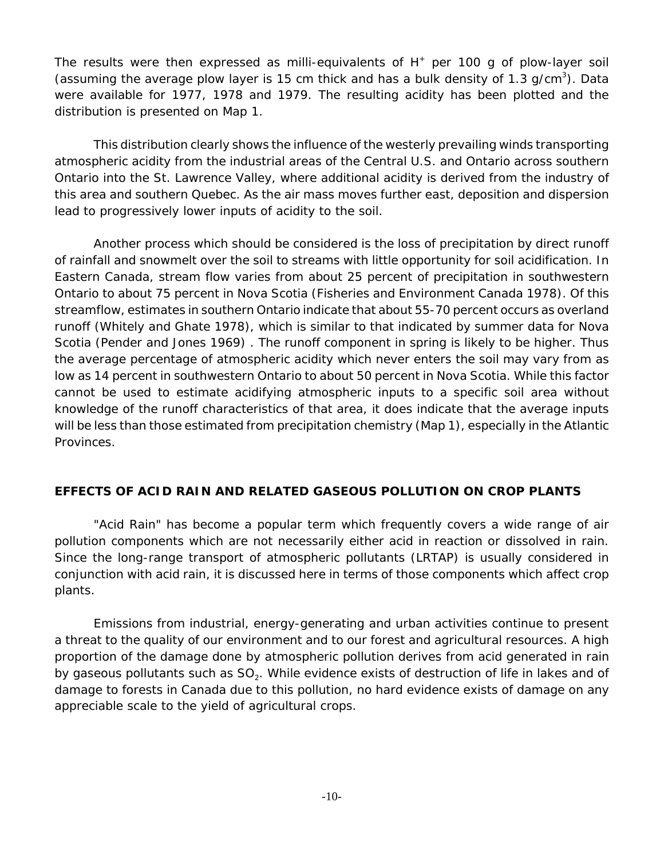The results were then expressed as milli-equivalents of  $H<sup>+</sup>$  per 100 g of plow-layer soil (assuming the average plow layer is 15 cm thick and has a bulk density of 1.3  $g/cm<sup>3</sup>$ ). Data were available for 1977, 1978 and 1979. The resulting acidity has been plotted and the distribution is presented on Map 1.

This distribution clearly shows the influence of the westerly prevailing winds transporting atmospheric acidity from the industrial areas of the Central U.S. and Ontario across southern Ontario into the St. Lawrence Valley, where additional acidity is derived from the industry of this area and southern Quebec. As the air mass moves further east, deposition and dispersion lead to progressively lower inputs of acidity to the soil.

Another process which should be considered is the loss of precipitation by direct runoff of rainfall and snowmelt over the soil to streams with little opportunity for soil acidification. In Eastern Canada, stream flow varies from about 25 percent of precipitation in southwestern Ontario to about 75 percent in Nova Scotia (Fisheries and Environment Canada 1978). Of this streamflow, estimates in southern Ontario indicate that about 55-70 percent occurs as overland runoff (Whitely and Ghate 1978), which is similar to that indicated by summer data for Nova Scotia (Pender and Jones 1969) . The runoff component in spring is likely to be higher. Thus the average percentage of atmospheric acidity which never enters the soil may vary from as low as 14 percent in southwestern Ontario to about 50 percent in Nova Scotia. While this factor cannot be used to estimate acidifying atmospheric inputs to a specific soil area without knowledge of the runoff characteristics of that area, it does indicate that the average inputs will be less than those estimated from precipitation chemistry (Map 1), especially in the Atlantic Provinces.

## **EFFECTS OF ACID RAIN AND RELATED GASEOUS POLLUTION ON CROP PLANTS**

"Acid Rain" has become a popular term which frequently covers a wide range of air pollution components which are not necessarily either acid in reaction or dissolved in rain. Since the long-range transport of atmospheric pollutants (LRTAP) is usually considered in conjunction with acid rain, it is discussed here in terms of those components which affect crop plants.

Emissions from industrial, energy-generating and urban activities continue to present a threat to the quality of our environment and to our forest and agricultural resources. A high proportion of the damage done by atmospheric pollution derives from acid generated in rain by gaseous pollutants such as  $SO<sub>2</sub>$ . While evidence exists of destruction of life in lakes and of damage to forests in Canada due to this pollution, no hard evidence exists of damage on any appreciable scale to the yield of agricultural crops.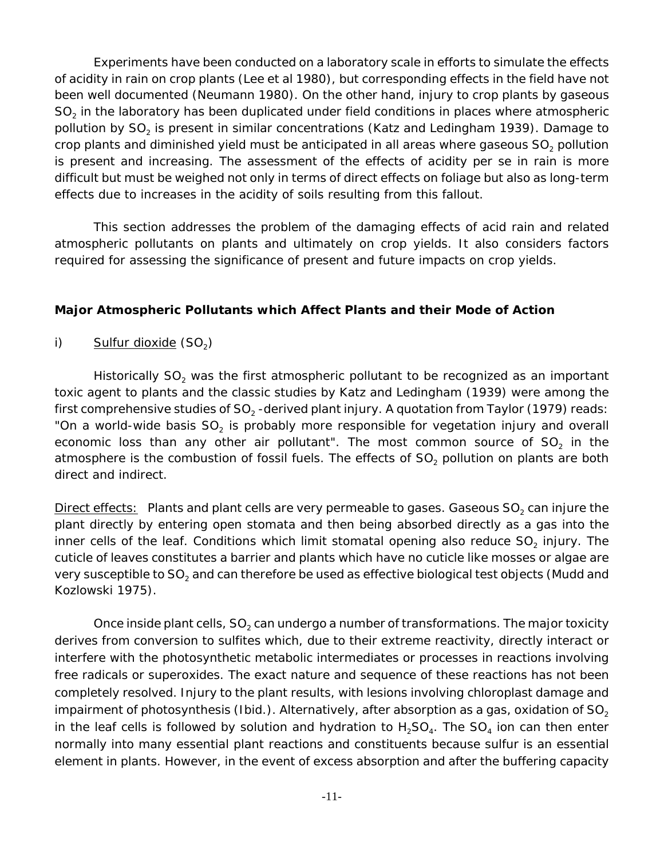Experiments have been conducted on a laboratory scale in efforts to simulate the effects of acidity in rain on crop plants (Lee *et al* 1980), but corresponding effects in the field have not been well documented (Neumann 1980). On the other hand, injury to crop plants by gaseous  $SO<sub>2</sub>$  in the laboratory has been duplicated under field conditions in places where atmospheric pollution by  $SO<sub>2</sub>$  is present in similar concentrations (Katz and Ledingham 1939). Damage to crop plants and diminished yield must be anticipated in all areas where gaseous  $SO<sub>2</sub>$  pollution is present and increasing. The assessment of the effects of acidity *per se* in rain is more difficult but must be weighed not only in terms of direct effects on foliage but also as long-term effects due to increases in the acidity of soils resulting from this fallout.

This section addresses the problem of the damaging effects of acid rain and related atmospheric pollutants on plants and ultimately on crop yields. It also considers factors required for assessing the significance of present and future impacts on crop yields.

#### **Major Atmospheric Pollutants which Affect Plants and their Mode of Action**

i) Sulfur dioxide  $(SO<sub>2</sub>)$ 

Historically SO<sub>2</sub> was the first atmospheric pollutant to be recognized as an important toxic agent to plants and the classic studies by Katz and Ledingham (1939) were among the first comprehensive studies of  $SO<sub>2</sub>$ -derived plant injury. A quotation from Taylor (1979) reads: "On a world-wide basis  $SO<sub>2</sub>$  is probably more responsible for vegetation injury and overall economic loss than any other air pollutant". The most common source of  $SO<sub>2</sub>$  in the atmosphere is the combustion of fossil fuels. The effects of  $SO<sub>2</sub>$  pollution on plants are both direct and indirect.

Direct effects: Plants and plant cells are very permeable to gases. Gaseous  $SO<sub>2</sub>$  can injure the plant directly by entering open stomata and then being absorbed directly as a gas into the inner cells of the leaf. Conditions which limit stomatal opening also reduce  $SO<sub>2</sub>$  injury. The cuticle of leaves constitutes a barrier and plants which have no cuticle like mosses or algae are very susceptible to  $SO<sub>2</sub>$  and can therefore be used as effective biological test objects (Mudd and Kozlowski 1975).

Once inside plant cells,  $SO<sub>2</sub>$  can undergo a number of transformations. The major toxicity derives from conversion to sulfites which, due to their extreme reactivity, directly interact or interfere with the photosynthetic metabolic intermediates or processes in reactions involving free radicals or superoxides. The exact nature and sequence of these reactions has not been completely resolved. Injury to the plant results, with lesions involving chloroplast damage and impairment of photosynthesis (Ibid.). Alternatively, after absorption as a gas, oxidation of  $SO<sub>2</sub>$ in the leaf cells is followed by solution and hydration to  $H_2SO_4$ . The SO<sub>4</sub> ion can then enter normally into many essential plant reactions and constituents because sulfur is an essential element in plants. However, in the event of excess absorption and after the buffering capacity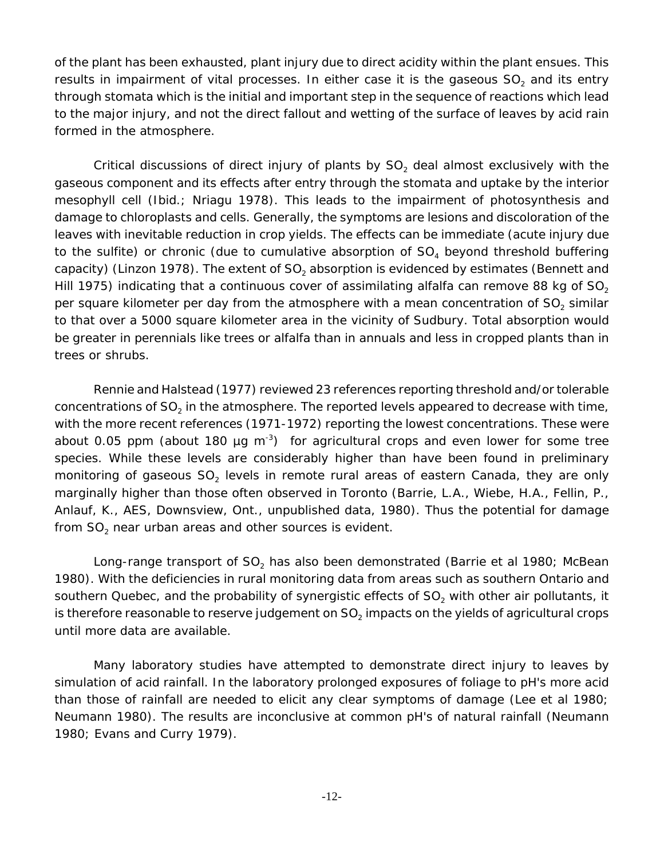of the plant has been exhausted, plant injury due to direct acidity within the plant ensues. This results in impairment of vital processes. In either case it is the gaseous  $SO<sub>2</sub>$  and its entry through stomata which is the initial and important step in the sequence of reactions which lead to the major injury, and not the direct fallout and wetting of the surface of leaves by acid rain formed in the atmosphere.

Critical discussions of direct injury of plants by  $SO<sub>2</sub>$  deal almost exclusively with the gaseous component and its effects after entry through the stomata and uptake by the interior mesophyll cell (Ibid.; Nriagu 1978). This leads to the impairment of photosynthesis and damage to chloroplasts and cells. Generally, the symptoms are lesions and discoloration of the leaves with inevitable reduction in crop yields. The effects can be immediate (acute injury due to the sulfite) or chronic (due to cumulative absorption of  $SO<sub>4</sub>$  beyond threshold buffering capacity) (Linzon 1978). The extent of  $SO<sub>2</sub>$  absorption is evidenced by estimates (Bennett and Hill 1975) indicating that a continuous cover of assimilating alfalfa can remove 88 kg of  $SO<sub>2</sub>$ per square kilometer per day from the atmosphere with a mean concentration of  $SO<sub>2</sub>$  similar to that over a 5000 square kilometer area in the vicinity of Sudbury. Total absorption would be greater in perennials like trees or alfalfa than in annuals and less in cropped plants than in trees or shrubs.

Rennie and Halstead (1977) reviewed 23 references reporting threshold and/or tolerable concentrations of  $SO<sub>2</sub>$  in the atmosphere. The reported levels appeared to decrease with time, with the more recent references (1971-1972) reporting the lowest concentrations. These were about 0.05 ppm (about 180  $\mu$ g m<sup>-3</sup>) for agricultural crops and even lower for some tree species. While these levels are considerably higher than have been found in preliminary monitoring of gaseous  $SO<sub>2</sub>$  levels in remote rural areas of eastern Canada, they are only marginally higher than those often observed in Toronto (Barrie, L.A., Wiebe, H.A., Fellin, P., Anlauf, K., AES, Downsview, Ont., unpublished data, 1980). Thus the potential for damage from  $SO<sub>2</sub>$  near urban areas and other sources is evident.

Long-range transport of SO<sub>2</sub> has also been demonstrated (Barrie *et al* 1980; McBean 1980). With the deficiencies in rural monitoring data from areas such as southern Ontario and southern Quebec, and the probability of synergistic effects of  $SO<sub>2</sub>$  with other air pollutants, it is therefore reasonable to reserve judgement on  $SO<sub>2</sub>$  impacts on the yields of agricultural crops until more data are available.

Many laboratory studies have attempted to demonstrate direct injury to leaves by simulation of acid rainfall. In the laboratory prolonged exposures of foliage to pH's more acid than those of rainfall are needed to elicit any clear symptoms of damage (Lee *et al* 1980; Neumann 1980). The results are inconclusive at common pH's of natural rainfall (Neumann 1980; Evans and Curry 1979).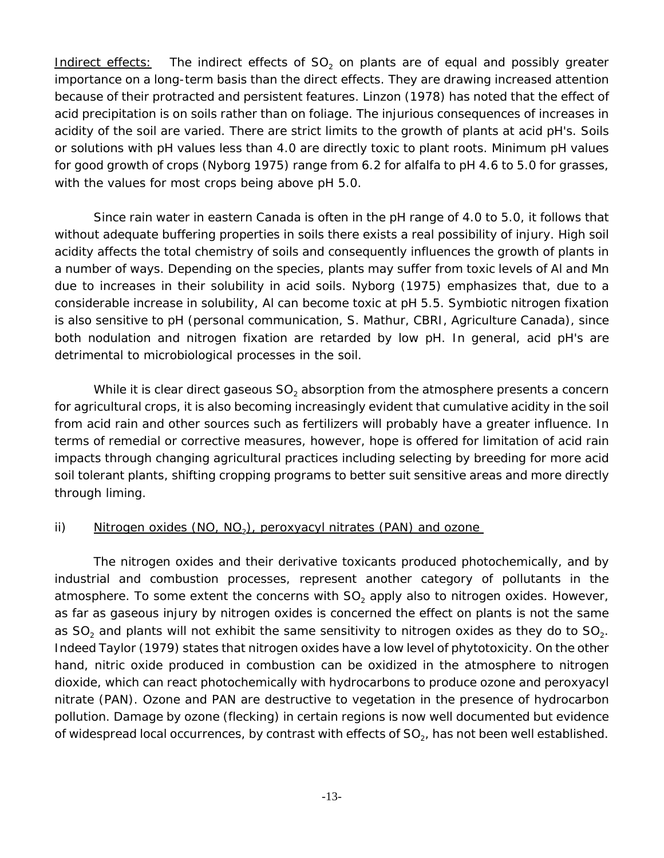Indirect effects: The indirect effects of  $SO<sub>2</sub>$  on plants are of equal and possibly greater importance on a long-term basis than the direct effects. They are drawing increased attention because of their protracted and persistent features. Linzon (1978) has noted that the effect of acid precipitation is on soils rather than on foliage. The injurious consequences of increases in acidity of the soil are varied. There are strict limits to the growth of plants at acid pH's. Soils or solutions with pH values less than 4.0 are directly toxic to plant roots. Minimum pH values for good growth of crops (Nyborg 1975) range from 6.2 for alfalfa to pH 4.6 to 5.0 for grasses, with the values for most crops being above pH 5.0.

Since rain water in eastern Canada is often in the pH range of 4.0 to 5.0, it follows that without adequate buffering properties in soils there exists a real possibility of injury. High soil acidity affects the total chemistry of soils and consequently influences the growth of plants in a number of ways. Depending on the species, plants may suffer from toxic levels of Al and Mn due to increases in their solubility in acid soils. Nyborg (1975) emphasizes that, due to a considerable increase in solubility, Al can become toxic at pH 5.5. Symbiotic nitrogen fixation is also sensitive to pH (personal communication, S. Mathur, CBRI, Agriculture Canada), since both nodulation and nitrogen fixation are retarded by low pH. In general, acid pH's are detrimental to microbiological processes in the soil.

While it is clear direct gaseous SO<sub>2</sub> absorption from the atmosphere presents a concern for agricultural crops, it is also becoming increasingly evident that cumulative acidity in the soil from acid rain and other sources such as fertilizers will probably have a greater influence. In terms of remedial or corrective measures, however, hope is offered for limitation of acid rain impacts through changing agricultural practices including selecting by breeding for more acid soil tolerant plants, shifting cropping programs to better suit sensitive areas and more directly through liming.

## ii) Nitrogen oxides  $(NO, NO<sub>2</sub>)$ , peroxyacyl nitrates  $(PAN)$  and ozone

The nitrogen oxides and their derivative toxicants produced photochemically, and by industrial and combustion processes, represent another category of pollutants in the atmosphere. To some extent the concerns with  $SO<sub>2</sub>$  apply also to nitrogen oxides. However, as far as gaseous injury by nitrogen oxides is concerned the effect on plants is not the same as  $SO<sub>2</sub>$  and plants will not exhibit the same sensitivity to nitrogen oxides as they do to  $SO<sub>2</sub>$ . Indeed Taylor (1979) states that nitrogen oxides have a low level of phytotoxicity. On the other hand, nitric oxide produced in combustion can be oxidized in the atmosphere to nitrogen dioxide, which can react photochemically with hydrocarbons to produce ozone and peroxyacyl nitrate (PAN). Ozone and PAN are destructive to vegetation in the presence of hydrocarbon pollution. Damage by ozone (flecking) in certain regions is now well documented but evidence of widespread local occurrences, by contrast with effects of  $SO_2$ , has not been well established.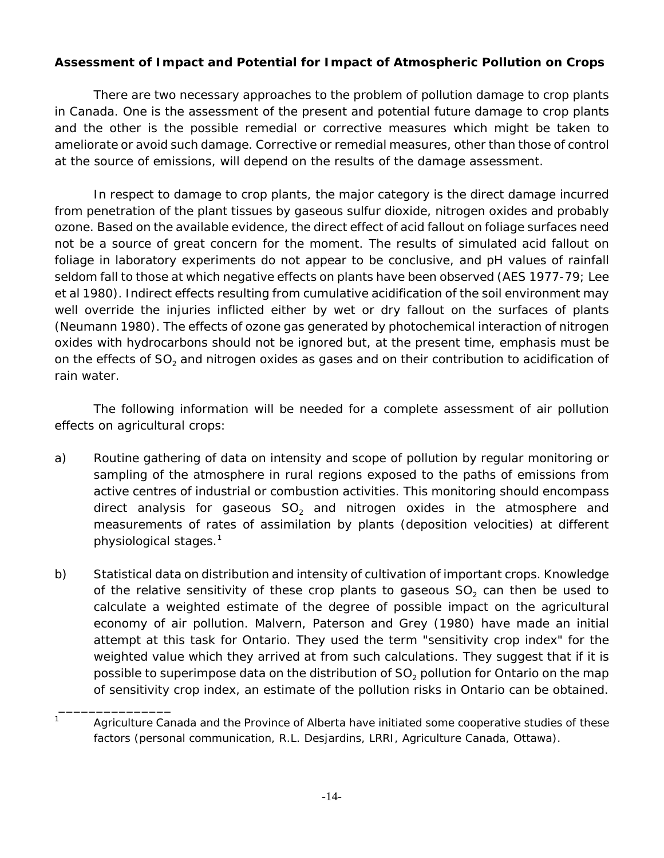## **Assessment of Impact and Potential for Impact of Atmospheric Pollution on Crops**

There are two necessary approaches to the problem of pollution damage to crop plants in Canada. One is the assessment of the present and potential future damage to crop plants and the other is the possible remedial or corrective measures which might be taken to ameliorate or avoid such damage. Corrective or remedial measures, other than those of control at the source of emissions, will depend on the results of the damage assessment.

In respect to damage to crop plants, the major category is the direct damage incurred from penetration of the plant tissues by gaseous sulfur dioxide, nitrogen oxides and probably ozone. Based on the available evidence, the direct effect of acid fallout on foliage surfaces need not be a source of great concern for the moment. The results of simulated acid fallout on foliage in laboratory experiments do not appear to be conclusive, and pH values of rainfall seldom fall to those at which negative effects on plants have been observed (AES 1977-79; Lee *et al* 1980). Indirect effects resulting from cumulative acidification of the soil environment may well override the injuries inflicted either by wet or dry fallout on the surfaces of plants (Neumann 1980). The effects of ozone gas generated by photochemical interaction of nitrogen oxides with hydrocarbons should not be ignored but, at the present time, emphasis must be on the effects of  $SO<sub>2</sub>$  and nitrogen oxides as gases and on their contribution to acidification of rain water.

The following information will be needed for a complete assessment of air pollution effects on agricultural crops:

- a) Routine gathering of data on intensity and scope of pollution by regular monitoring or sampling of the atmosphere in rural regions exposed to the paths of emissions from active centres of industrial or combustion activities. This monitoring should encompass direct analysis for gaseous  $SO<sub>2</sub>$  and nitrogen oxides in the atmosphere and measurements of rates of assimilation by plants (deposition velocities) at different physiological stages.1
- b) Statistical data on distribution and intensity of cultivation of important crops. Knowledge of the relative sensitivity of these crop plants to gaseous  $SO<sub>2</sub>$  can then be used to calculate a weighted estimate of the degree of possible impact on the agricultural economy of air pollution. Malvern, Paterson and Grey (1980) have made an initial attempt at this task for Ontario. They used the term "sensitivity crop index" for the weighted value which they arrived at from such calculations. They suggest that if it is possible to superimpose data on the distribution of  $SO<sub>2</sub>$  pollution for Ontario on the map of sensitivity crop index, an estimate of the pollution risks in Ontario can be obtained.

 $\frac{1}{2}$  ,  $\frac{1}{2}$  ,  $\frac{1}{2}$  ,  $\frac{1}{2}$  ,  $\frac{1}{2}$  ,  $\frac{1}{2}$  ,  $\frac{1}{2}$  ,  $\frac{1}{2}$  ,  $\frac{1}{2}$  ,  $\frac{1}{2}$  ,  $\frac{1}{2}$  ,  $\frac{1}{2}$  ,  $\frac{1}{2}$  ,  $\frac{1}{2}$  ,  $\frac{1}{2}$  ,  $\frac{1}{2}$  ,  $\frac{1}{2}$  ,  $\frac{1}{2}$  ,  $\frac{1$ 

 $1 - 1$  Agriculture Canada and the Province of Alberta have initiated some cooperative studies of these factors (personal communication, R.L. Desjardins, LRRI, Agriculture Canada, Ottawa).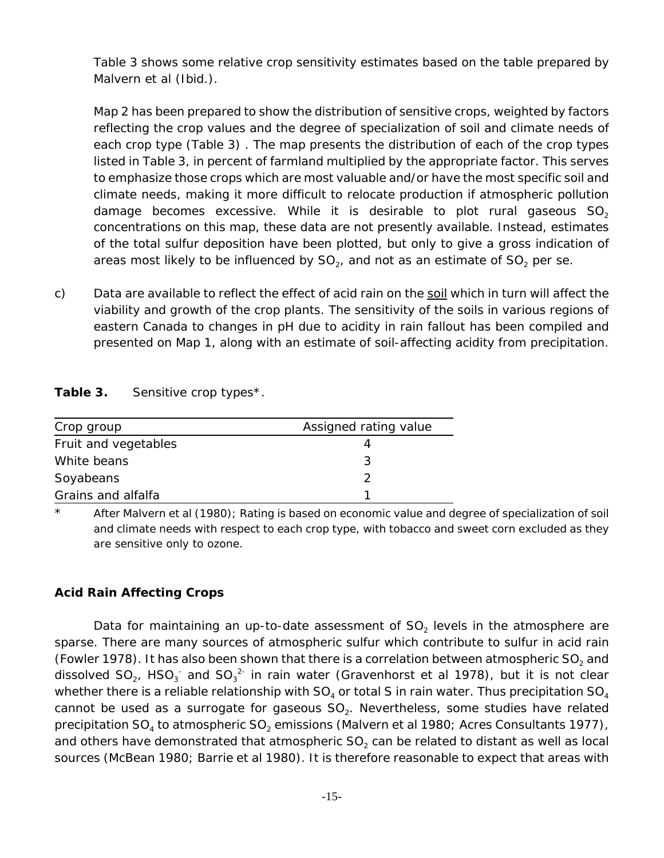Table 3 shows some relative crop sensitivity estimates based on the table prepared by Malvern *et al* (Ibid.).

Map 2 has been prepared to show the distribution of sensitive crops, weighted by factors reflecting the crop values and the degree of specialization of soil and climate needs of each crop type (Table 3) . The map presents the distribution of each of the crop types listed in Table 3, in percent of farmland multiplied by the appropriate factor. This serves to emphasize those crops which are most valuable and/or have the most specific soil and climate needs, making it more difficult to relocate production if atmospheric pollution damage becomes excessive. While it is desirable to plot rural gaseous  $SO<sub>2</sub>$ concentrations on this map, these data are not presently available. Instead, estimates of the total sulfur deposition have been plotted, but only to give a gross indication of areas most likely to be influenced by  $SO<sub>2</sub>$ , and not as an estimate of  $SO<sub>2</sub>$  *per se.* 

c) Data are available to reflect the effect of acid rain on the soil which in turn will affect the viability and growth of the crop plants. The sensitivity of the soils in various regions of eastern Canada to changes in pH due to acidity in rain fallout has been compiled and presented on Map 1, along with an estimate of soil-affecting acidity from precipitation.

| Table 3. | Sensitive crop types*. |
|----------|------------------------|
|----------|------------------------|

| Crop group           | Assigned rating value |
|----------------------|-----------------------|
| Fruit and vegetables |                       |
| White beans          | 2                     |
| Soyabeans            |                       |
| Grains and alfalfa   |                       |

\* After Malvern *et al* (1980); Rating is based on economic value and degree of specialization of soil and climate needs with respect to each crop type, with tobacco and sweet corn excluded as they are sensitive only to ozone.

## **Acid Rain Affecting Crops**

Data for maintaining an up-to-date assessment of  $SO<sub>2</sub>$  levels in the atmosphere are sparse. There are many sources of atmospheric sulfur which contribute to sulfur in acid rain (Fowler 1978). It has also been shown that there is a correlation between atmospheric  $SO<sub>2</sub>$  and dissolved SO<sub>2</sub>, HSO<sub>3</sub> and SO<sub>3</sub><sup>2</sup> in rain water (Gravenhorst *et al* 1978), but it is not clear whether there is a reliable relationship with  $SO_4$  or total S in rain water. Thus precipitation  $SO_4$ cannot be used as a surrogate for gaseous  $SO_2$ . Nevertheless, some studies have related precipitation SO<sub>4</sub> to atmospheric SO<sub>2</sub> emissions (Malvern *et al* 1980; Acres Consultants 1977), and others have demonstrated that atmospheric  $SO<sub>2</sub>$  can be related to distant as well as local sources (McBean 1980; Barrie *et al* 1980). It is therefore reasonable to expect that areas with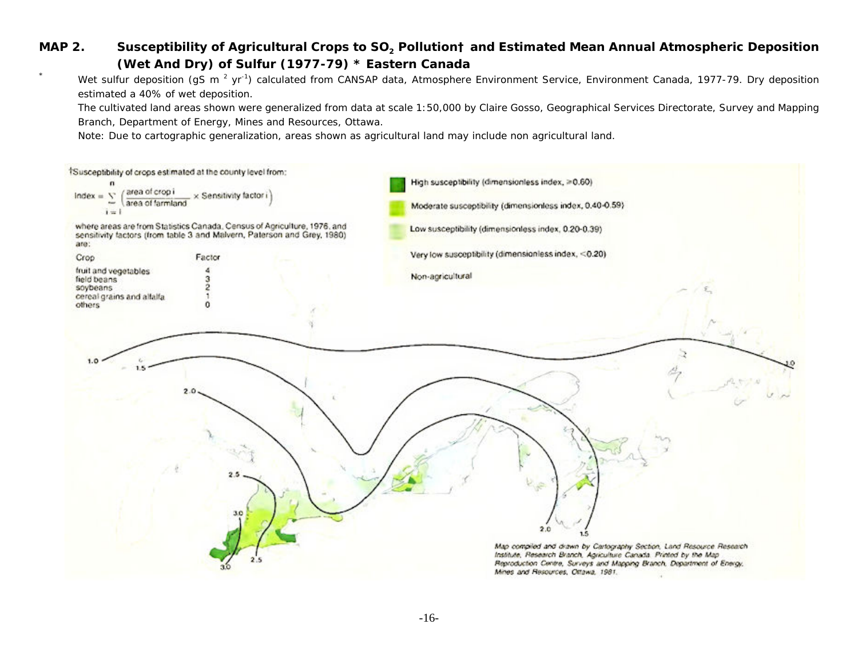## **MAP 2.** Susceptibility of Agricultural Crops to SO<sub>2</sub> Pollution† and Estimated Mean Annual Atmospheric Deposition **(Wet And Dry) of Sulfur (1977-79) \* Eastern Canada**

Wet sulfur deposition (gS m<sup>2</sup> yr<sup>-1</sup>) calculated from CANSAP data, Atmosphere Environment Service, Environment Canada, 1977-79. Dry deposition estimated a 40% of wet deposition.

The cultivated land areas shown were generalized from data at scale 1:50,000 by Claire Gosso, Geographical Services Directorate, Survey and Mapping Branch, Department of Energy, Mines and Resources, Ottawa.

Note: Due to cartographic generalization, areas shown as agricultural land may include non agricultural land.

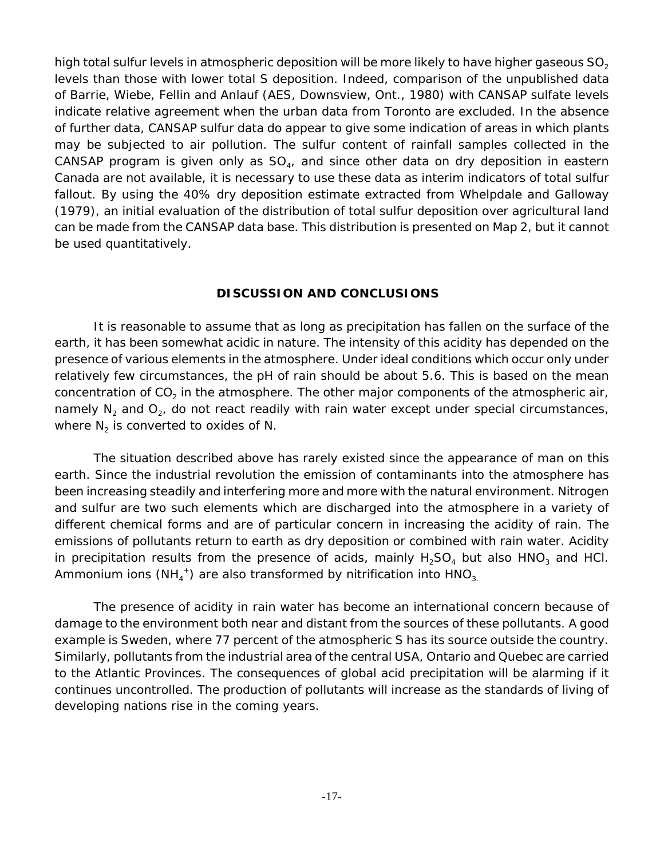high total sulfur levels in atmospheric deposition will be more likely to have higher gaseous  $SO<sub>2</sub>$ levels than those with lower total S deposition. Indeed, comparison of the unpublished data of Barrie, Wiebe, Fellin and Anlauf (AES, Downsview, Ont., 1980) with CANSAP sulfate levels indicate relative agreement when the urban data from Toronto are excluded. In the absence of further data, CANSAP sulfur data do appear to give some indication of areas in which plants may be subjected to air pollution. The sulfur content of rainfall samples collected in the CANSAP program is given only as  $SO<sub>4</sub>$ , and since other data on dry deposition in eastern Canada are not available, it is necessary to use these data as interim indicators of total sulfur fallout. By using the 40% dry deposition estimate extracted from Whelpdale and Galloway (1979), an initial evaluation of the distribution of total sulfur deposition over agricultural land can be made from the CANSAP data base. This distribution is presented on Map 2, but it cannot be used quantitatively.

#### **DISCUSSION AND CONCLUSIONS**

It is reasonable to assume that as long as precipitation has fallen on the surface of the earth, it has been somewhat acidic in nature. The intensity of this acidity has depended on the presence of various elements in the atmosphere. Under ideal conditions which occur only under relatively few circumstances, the pH of rain should be about 5.6. This is based on the mean concentration of  $CO<sub>2</sub>$  in the atmosphere. The other major components of the atmospheric air, namely  $N_2$  and  $O_2$ , do not react readily with rain water except under special circumstances, where  $N_2$  is converted to oxides of N.

The situation described above has rarely existed since the appearance of man on this earth. Since the industrial revolution the emission of contaminants into the atmosphere has been increasing steadily and interfering more and more with the natural environment. Nitrogen and sulfur are two such elements which are discharged into the atmosphere in a variety of different chemical forms and are of particular concern in increasing the acidity of rain. The emissions of pollutants return to earth as dry deposition or combined with rain water. Acidity in precipitation results from the presence of acids, mainly  $H_2SO_4$  but also HNO<sub>3</sub> and HCl. Ammonium ions (NH<sub>4</sub><sup>+</sup>) are also transformed by nitrification into  $HNO_{3}$ 

The presence of acidity in rain water has become an international concern because of damage to the environment both near and distant from the sources of these pollutants. A good example is Sweden, where 77 percent of the atmospheric S has its source outside the country. Similarly, pollutants from the industrial area of the central USA, Ontario and Quebec are carried to the Atlantic Provinces. The consequences of global acid precipitation will be alarming if it continues uncontrolled. The production of pollutants will increase as the standards of living of developing nations rise in the coming years.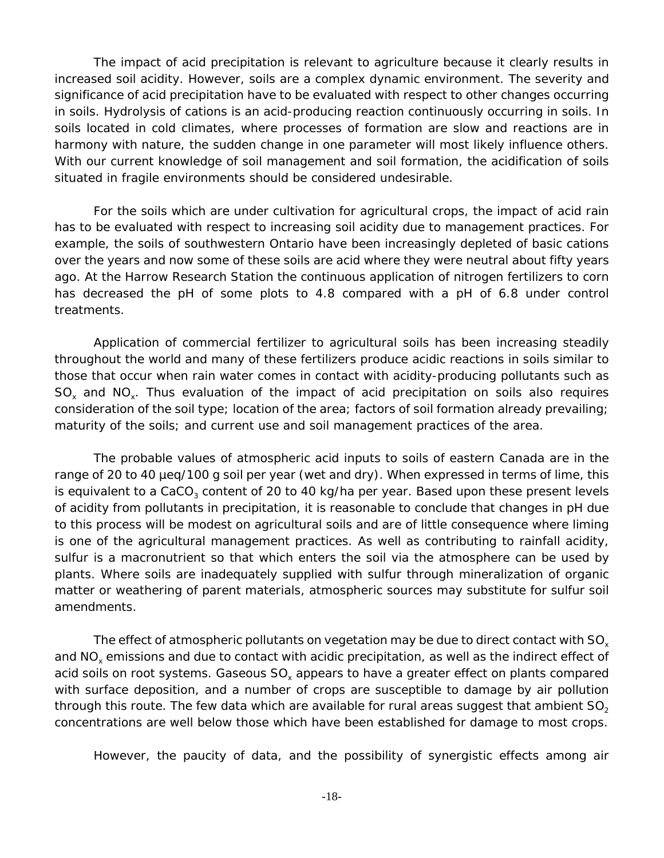The impact of acid precipitation is relevant to agriculture because it clearly results in increased soil acidity. However, soils are a complex dynamic environment. The severity and significance of acid precipitation have to be evaluated with respect to other changes occurring in soils. Hydrolysis of cations is an acid-producing reaction continuously occurring in soils. In soils located in cold climates, where processes of formation are slow and reactions are in harmony with nature, the sudden change in one parameter will most likely influence others. With our current knowledge of soil management and soil formation, the acidification of soils situated in fragile environments should be considered undesirable.

For the soils which are under cultivation for agricultural crops, the impact of acid rain has to be evaluated with respect to increasing soil acidity due to management practices. For example, the soils of southwestern Ontario have been increasingly depleted of basic cations over the years and now some of these soils are acid where they were neutral about fifty years ago. At the Harrow Research Station the continuous application of nitrogen fertilizers to corn has decreased the pH of some plots to 4.8 compared with a pH of 6.8 under control treatments.

Application of commercial fertilizer to agricultural soils has been increasing steadily throughout the world and many of these fertilizers produce acidic reactions in soils similar to those that occur when rain water comes in contact with acidity-producing pollutants such as  $SO_x$  and  $NO_x$ . Thus evaluation of the impact of acid precipitation on soils also requires consideration of the soil type; location of the area; factors of soil formation already prevailing; maturity of the soils; and current use and soil management practices of the area.

The probable values of atmospheric acid inputs to soils of eastern Canada are in the range of 20 to 40 µeq/100 g soil per year (wet and dry). When expressed in terms of lime, this is equivalent to a CaCO<sub>3</sub> content of 20 to 40 kg/ha per year. Based upon these present levels of acidity from pollutants in precipitation, it is reasonable to conclude that changes in pH due to this process will be modest on agricultural soils and are of little consequence where liming is one of the agricultural management practices. As well as contributing to rainfall acidity, sulfur is a macronutrient so that which enters the soil via the atmosphere can be used by plants. Where soils are inadequately supplied with sulfur through mineralization of organic matter or weathering of parent materials, atmospheric sources may substitute for sulfur soil amendments.

The effect of atmospheric pollutants on vegetation may be due to direct contact with SO<sub>v</sub> and NO<sub>v</sub> emissions and due to contact with acidic precipitation, as well as the indirect effect of acid soils on root systems. Gaseous  $SO_x$  appears to have a greater effect on plants compared with surface deposition, and a number of crops are susceptible to damage by air pollution through this route. The few data which are available for rural areas suggest that ambient  $SO<sub>2</sub>$ concentrations are well below those which have been established for damage to most crops.

However, the paucity of data, and the possibility of synergistic effects among air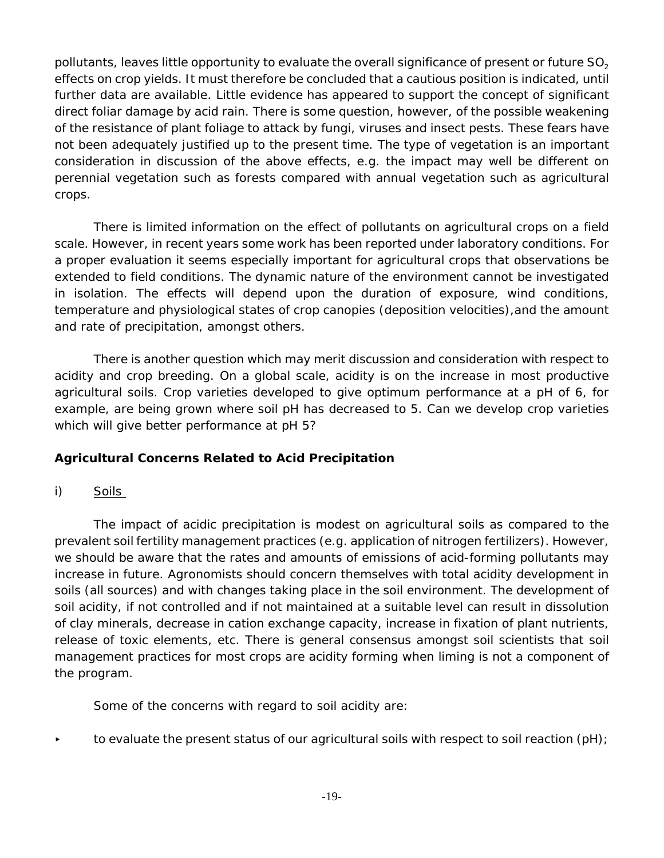pollutants, leaves little opportunity to evaluate the overall significance of present or future SO<sub>2</sub> effects on crop yields. It must therefore be concluded that a cautious position is indicated, until further data are available. Little evidence has appeared to support the concept of significant direct foliar damage by acid rain. There is some question, however, of the possible weakening of the resistance of plant foliage to attack by fungi, viruses and insect pests. These fears have not been adequately justified up to the present time. The type of vegetation is an important consideration in discussion of the above effects, e.g. the impact may well be different on perennial vegetation such as forests compared with annual vegetation such as agricultural crops.

There is limited information on the effect of pollutants on agricultural crops on a field scale. However, in recent years some work has been reported under laboratory conditions. For a proper evaluation it seems especially important for agricultural crops that observations be extended to field conditions. The dynamic nature of the environment cannot be investigated in isolation. The effects will depend upon the duration of exposure, wind conditions, temperature and physiological states of crop canopies (deposition velocities),and the amount and rate of precipitation, amongst others.

There is another question which may merit discussion and consideration with respect to acidity and crop breeding. On a global scale, acidity is on the increase in most productive agricultural soils. Crop varieties developed to give optimum performance at a pH of 6, for example, are being grown where soil pH has decreased to 5. Can we develop crop varieties which will give better performance at pH 5?

## **Agricultural Concerns Related to Acid Precipitation**

i) Soils

The impact of acidic precipitation is modest on agricultural soils as compared to the prevalent soil fertility management practices (e.g. application of nitrogen fertilizers). However, we should be aware that the rates and amounts of emissions of acid-forming pollutants may increase in future. Agronomists should concern themselves with total acidity development in soils (all sources) and with changes taking place in the soil environment. The development of soil acidity, if not controlled and if not maintained at a suitable level can result in dissolution of clay minerals, decrease in cation exchange capacity, increase in fixation of plant nutrients, release of toxic elements, etc. There is general consensus amongst soil scientists that soil management practices for most crops are acidity forming when liming is not a component of the program.

Some of the concerns with regard to soil acidity are:

to evaluate the present status of our agricultural soils with respect to soil reaction (pH);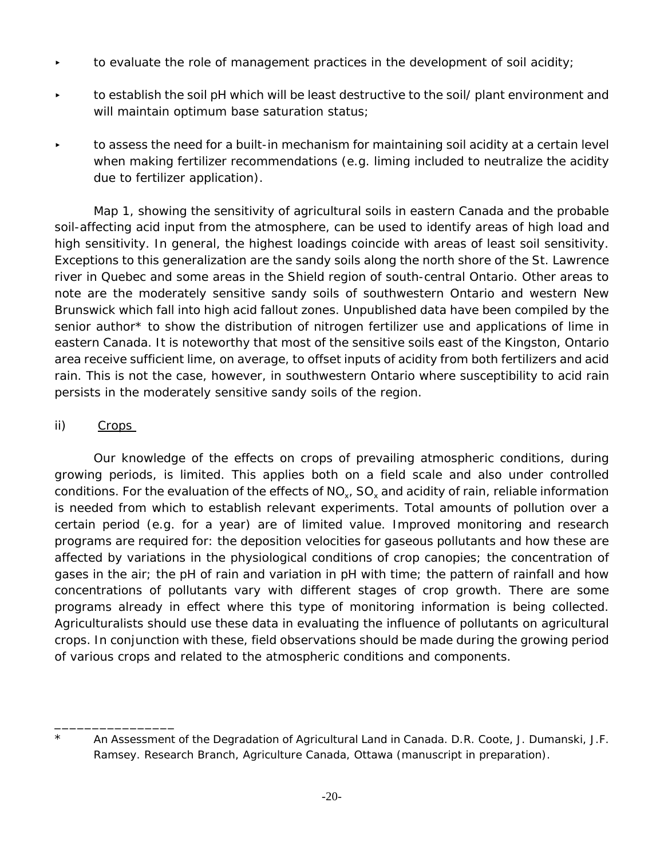- to evaluate the role of management practices in the development of soil acidity;
- < to establish the soil pH which will be least destructive to the soil/ plant environment and will maintain optimum base saturation status;
- $\bullet$  to assess the need for a built-in mechanism for maintaining soil acidity at a certain level when making fertilizer recommendations (e.g. liming included to neutralize the acidity due to fertilizer application).

Map 1, showing the sensitivity of agricultural soils in eastern Canada and the probable soil-affecting acid input from the atmosphere, can be used to identify areas of high load and high sensitivity. In general, the highest loadings coincide with areas of least soil sensitivity. Exceptions to this generalization are the sandy soils along the north shore of the St. Lawrence river in Quebec and some areas in the Shield region of south-central Ontario. Other areas to note are the moderately sensitive sandy soils of southwestern Ontario and western New Brunswick which fall into high acid fallout zones. Unpublished data have been compiled by the senior author\* to show the distribution of nitrogen fertilizer use and applications of lime in eastern Canada. It is noteworthy that most of the sensitive soils east of the Kingston, Ontario area receive sufficient lime, on average, to offset inputs of acidity from both fertilizers and acid rain. This is not the case, however, in southwestern Ontario where susceptibility to acid rain persists in the moderately sensitive sandy soils of the region.

## ii) Crops

\_\_\_\_\_\_\_\_\_\_\_\_\_\_\_\_

Our knowledge of the effects on crops of prevailing atmospheric conditions, during growing periods, is limited. This applies both on a field scale and also under controlled conditions. For the evaluation of the effects of  $NO<sub>x</sub>$ ,  $SO<sub>x</sub>$  and acidity of rain, reliable information is needed from which to establish relevant experiments. Total amounts of pollution over a certain period (e.g. for a year) are of limited value. Improved monitoring and research programs are required for: the deposition velocities for gaseous pollutants and how these are affected by variations in the physiological conditions of crop canopies; the concentration of gases in the air; the pH of rain and variation in pH with time; the pattern of rainfall and how concentrations of pollutants vary with different stages of crop growth. There are some programs already in effect where this type of monitoring information is being collected. Agriculturalists should use these data in evaluating the influence of pollutants on agricultural crops. In conjunction with these, field observations should be made during the growing period of various crops and related to the atmospheric conditions and components.

<sup>\*</sup> An Assessment of the Degradation of Agricultural Land in Canada. D.R. Coote, J. Dumanski, J.F. Ramsey. Research Branch, Agriculture Canada, Ottawa (manuscript in preparation).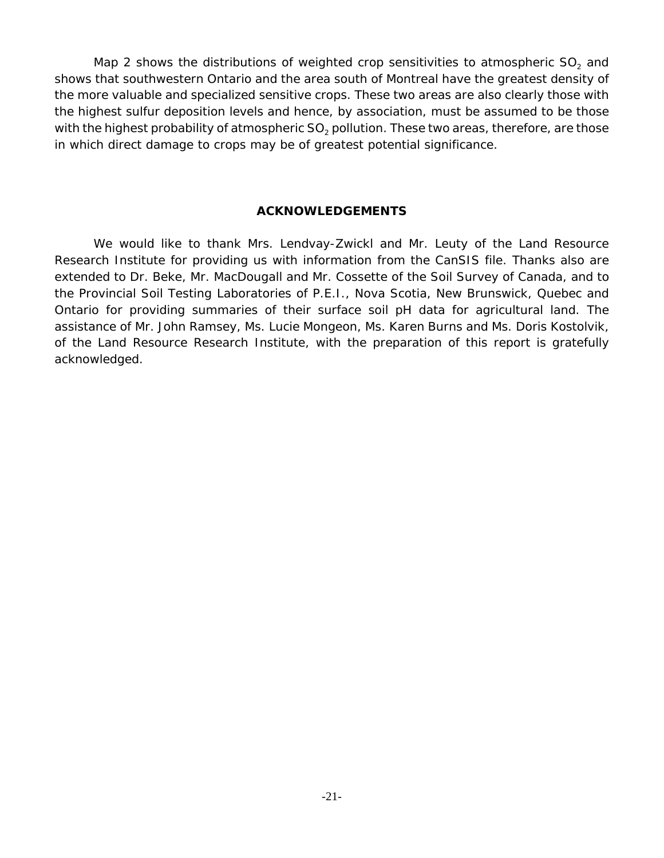Map 2 shows the distributions of weighted crop sensitivities to atmospheric  $SO<sub>2</sub>$  and shows that southwestern Ontario and the area south of Montreal have the greatest density of the more valuable and specialized sensitive crops. These two areas are also clearly those with the highest sulfur deposition levels and hence, by association, must be assumed to be those with the highest probability of atmospheric  $SO<sub>2</sub>$  pollution. These two areas, therefore, are those in which direct damage to crops may be of greatest potential significance.

#### **ACKNOWLEDGEMENTS**

We would like to thank Mrs. Lendvay-Zwickl and Mr. Leuty of the Land Resource Research Institute for providing us with information from the CanSIS file. Thanks also are extended to Dr. Beke, Mr. MacDougall and Mr. Cossette of the Soil Survey of Canada, and to the Provincial Soil Testing Laboratories of P.E.I., Nova Scotia, New Brunswick, Quebec and Ontario for providing summaries of their surface soil pH data for agricultural land. The assistance of Mr. John Ramsey, Ms. Lucie Mongeon, Ms. Karen Burns and Ms. Doris Kostolvik, of the Land Resource Research Institute, with the preparation of this report is gratefully acknowledged.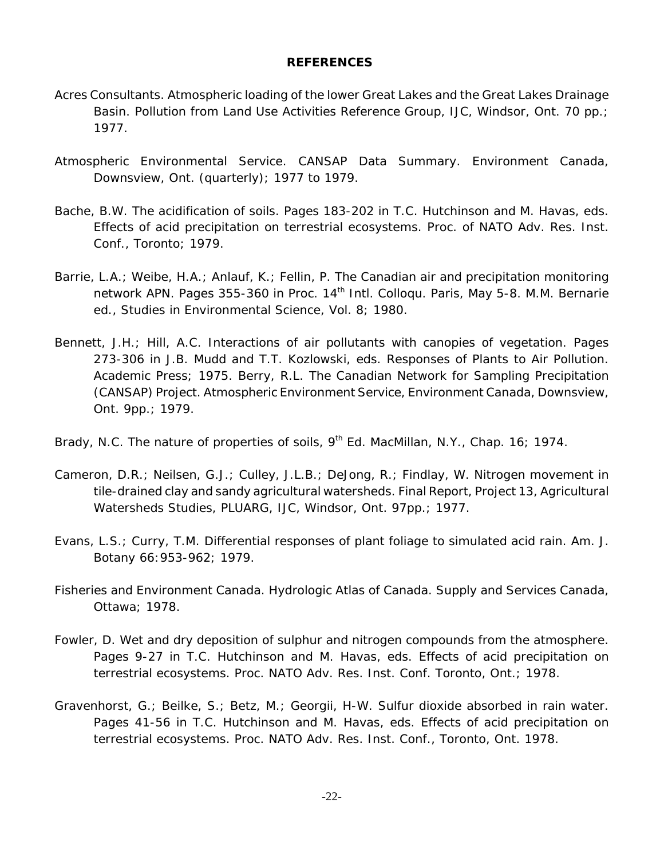#### **REFERENCES**

- Acres Consultants. Atmospheric loading of the lower Great Lakes and the Great Lakes Drainage Basin. Pollution from Land Use Activities Reference Group, IJC, Windsor, Ont. 70 pp.; 1977.
- Atmospheric Environmental Service. CANSAP Data Summary. Environment Canada, Downsview, Ont. (quarterly); 1977 to 1979.
- Bache, B.W. The acidification of soils. Pages 183-202 *in* T.C. Hutchinson and M. Havas, eds. Effects of acid precipitation on terrestrial ecosystems. Proc. of NATO Adv. Res. Inst. Conf., Toronto; 1979.
- Barrie, L.A.; Weibe, H.A.; Anlauf, K.; Fellin, P. The Canadian air and precipitation monitoring network APN. Pages 355-360 in Proc. 14<sup>th</sup> Intl. Collogu. Paris, May 5-8. M.M. Bernarie ed., Studies in Environmental Science, Vol. 8; 1980.
- Bennett, J.H.; Hill, A.C. Interactions of air pollutants with canopies of vegetation. Pages 273-306 in J.B. Mudd and T.T. Kozlowski, eds. Responses of Plants to Air Pollution. Academic Press; 1975. Berry, R.L. The Canadian Network for Sampling Precipitation (CANSAP) Project. Atmospheric Environment Service, Environment Canada, Downsview, Ont. 9pp.; 1979.
- Brady, N.C. The nature of properties of soils, 9<sup>th</sup> Ed. MacMillan, N.Y., Chap. 16; 1974.
- Cameron, D.R.; Neilsen, G.J.; Culley, J.L.B.; DeJong, R.; Findlay, W. Nitrogen movement in tile-drained clay and sandy agricultural watersheds. Final Report, Project 13, Agricultural Watersheds Studies, PLUARG, IJC, Windsor, Ont. 97pp.; 1977.
- Evans, L.S.; Curry, T.M. Differential responses of plant foliage to simulated acid rain. Am. J. Botany 66:953-962; 1979.
- Fisheries and Environment Canada. Hydrologic Atlas of Canada. Supply and Services Canada, Ottawa; 1978.
- Fowler, D. Wet and dry deposition of sulphur and nitrogen compounds from the atmosphere. Pages 9-27 in T.C. Hutchinson and M. Havas, eds. Effects of acid precipitation on terrestrial ecosystems. Proc. NATO Adv. Res. Inst. Conf. Toronto, Ont.; 1978.
- Gravenhorst, G.; Beilke, S.; Betz, M.; Georgii, H-W. Sulfur dioxide absorbed in rain water. Pages 41-56 *in* T.C. Hutchinson and M. Havas, eds. Effects of acid precipitation on terrestrial ecosystems. Proc. NATO Adv. Res. Inst. Conf., Toronto, Ont. 1978.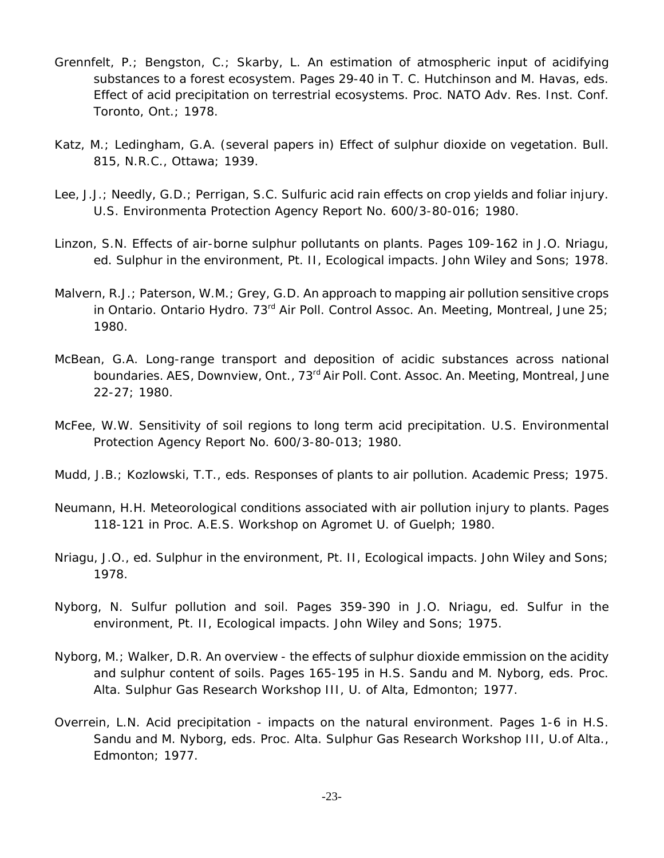- Grennfelt, P.; Bengston, C.; Skarby, L. An estimation of atmospheric input of acidifying substances to a forest ecosystem. Pages 29-40 *in* T. C. Hutchinson and M. Havas, eds. Effect of acid precipitation on terrestrial ecosystems. Proc. NATO Adv. Res. Inst. Conf. Toronto, Ont.; 1978.
- Katz, M.; Ledingham, G.A. (several papers in) Effect of sulphur dioxide on vegetation. Bull. 815, N.R.C., Ottawa; 1939.
- Lee, J.J.; Needly, G.D.; Perrigan, S.C. Sulfuric acid rain effects on crop yields and foliar injury. U.S. Environmenta Protection Agency Report No. 600/3-80-016; 1980.
- Linzon, S.N. Effects of air-borne sulphur pollutants on plants. Pages 109-162 in J.O. Nriagu, ed. Sulphur in the environment, Pt. II, Ecological impacts. John Wiley and Sons; 1978.
- Malvern, R.J.; Paterson, W.M.; Grey, G.D. An approach to mapping air pollution sensitive crops in Ontario. Ontario Hydro. 73<sup>rd</sup> Air Poll. Control Assoc. An. Meeting, Montreal, June 25; 1980.
- McBean, G.A. Long-range transport and deposition of acidic substances across national boundaries. AES, Downview, Ont., 73<sup>rd</sup> Air Poll. Cont. Assoc. An. Meeting, Montreal, June 22-27; 1980.
- McFee, W.W. Sensitivity of soil regions to long term acid precipitation. U.S. Environmental Protection Agency Report No. 600/3-80-013; 1980.
- Mudd, J.B.; Kozlowski, T.T., eds. Responses of plants to air pollution. Academic Press; 1975.
- Neumann, H.H. Meteorological conditions associated with air pollution injury to plants. Pages 118-121 in Proc. A.E.S. Workshop on Agromet U. of Guelph; 1980.
- Nriagu, J.O., ed. Sulphur in the environment, Pt. II, Ecological impacts. John Wiley and Sons; 1978.
- Nyborg, N. Sulfur pollution and soil. Pages 359-390 *in* J.O. Nriagu, ed. Sulfur in the environment, Pt. II, Ecological impacts. John Wiley and Sons; 1975.
- Nyborg, M.; Walker, D.R. An overview the effects of sulphur dioxide emmission on the acidity and sulphur content of soils. Pages 165-195 *in* H.S. Sandu and M. Nyborg, eds. Proc. Alta. Sulphur Gas Research Workshop III, U. of Alta, Edmonton; 1977.
- Overrein, L.N. Acid precipitation impacts on the natural environment. Pages 1-6 in H.S. Sandu and M. Nyborg, eds. Proc. Alta. Sulphur Gas Research Workshop III, U.of Alta., Edmonton; 1977.